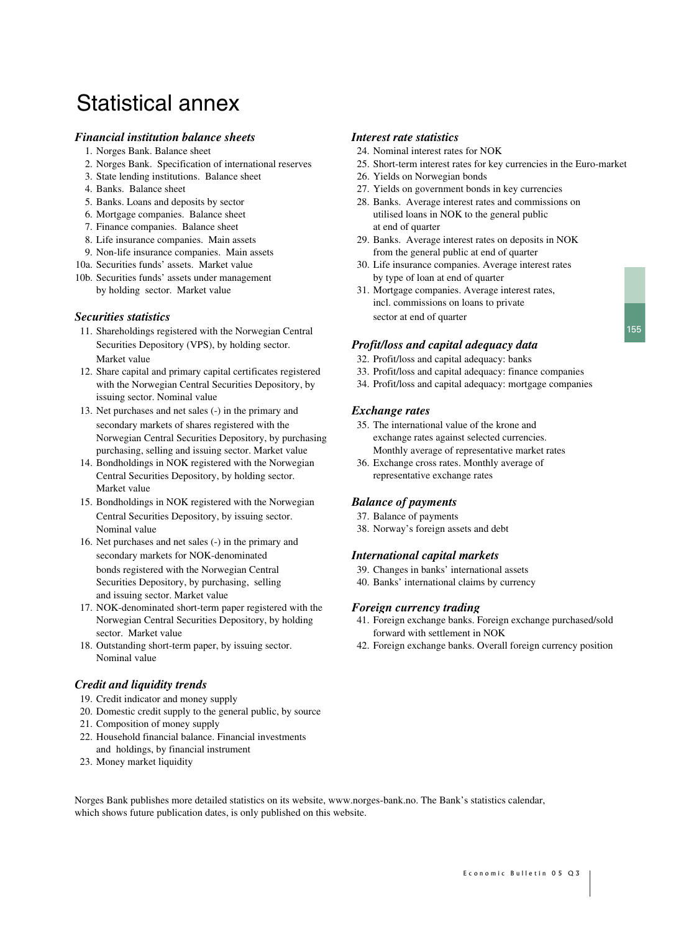# Statistical annex

# *Financial institution balance sheets Interest rate statistics*

- 
- 
- 3. State lending institutions. Balance sheet 26. Yields on Norwegian bonds
- 
- 
- 
- 7. Finance companies. Balance sheet at end of quarter
- 
- 
- 
- 10b. Securities funds' assets under management by type of loan at end of quarter

- 11. Shareholdings registered with the Norwegian Central Securities Depository (VPS), by holding sector. *Profit/loss and capital adequacy data* Market value 32. Profit/loss and capital adequacy: banks
- 12. Share capital and primary capital certificates registered 33. Profit/loss and capital adequacy: finance companies issuing sector. Nominal value
- 13. Net purchases and net sales (-) in the primary and *Exchange rates* secondary markets of shares registered with the 35. The international value of the krone and Norwegian Central Securities Depository, by purchasing exchange rates against selected currencies. purchasing, selling and issuing sector. Market value Monthly average of representative market rates
- 14. Bondholdings in NOK registered with the Norwegian 36. Exchange cross rates. Monthly average of Central Securities Depository, by holding sector. representative exchange rates Market value
- 15. Bondholdings in NOK registered with the Norwegian *Balance of payments* Central Securities Depository, by issuing sector. 37. Balance of payments Nominal value 38. Norway's foreign assets and debt
- 16. Net purchases and net sales (-) in the primary and secondary markets for NOK-denominated *International capital markets* bonds registered with the Norwegian Central 39. Changes in banks' international assets Securities Depository, by purchasing, selling 40. Banks' international claims by currency and issuing sector. Market value
- 17. NOK-denominated short-term paper registered with the *Foreign currency trading* sector. Market value forward with settlement in NOK
- Nominal value

# *Credit and liquidity trends*

- 19. Credit indicator and money supply
- 20. Domestic credit supply to the general public, by source
- 21. Composition of money supply
- 22. Household financial balance. Financial investments and holdings, by financial instrument
- 23. Money market liquidity

- 1. Norges Bank. Balance sheet 24. Nominal interest rates for NOK
- 2. Norges Bank. Specification of international reserves 25. Short-term interest rates for key currencies in the Euro-market
	-
- 4. Banks. Balance sheet 27. Yields on government bonds in key currencies
- 5. Banks. Loans and deposits by sector 28. Banks. Average interest rates and commissions on 6. Mortgage companies. Balance sheet utilised loans in NOK to the general public
- 8. Life insurance companies. Main assets 29. Banks. Average interest rates on deposits in NOK 9. Non-life insurance companies. Main assets from the general public at end of quarter
- 10a. Securities funds' assets. Market value 30. Life insurance companies. Average interest rates
- by holding sector. Market value 31. Mortgage companies. Average interest rates, incl. commissions on loans to private **Securities statistics** sector at end of quarter

- 
- 
- with the Norwegian Central Securities Depository, by 34. Profit/loss and capital adequacy: mortgage companies

- 
- 

- 
- 

- 
- 

- Norwegian Central Securities Depository, by holding 41. Foreign exchange banks. Foreign exchange purchased/sold
- 18. Outstanding short-term paper, by issuing sector. 42. Foreign exchange banks. Overall foreign currency position

Norges Bank publishes more detailed statistics on its website, www.norges-bank.no. The Bank's statistics calendar, which shows future publication dates, is only published on this website.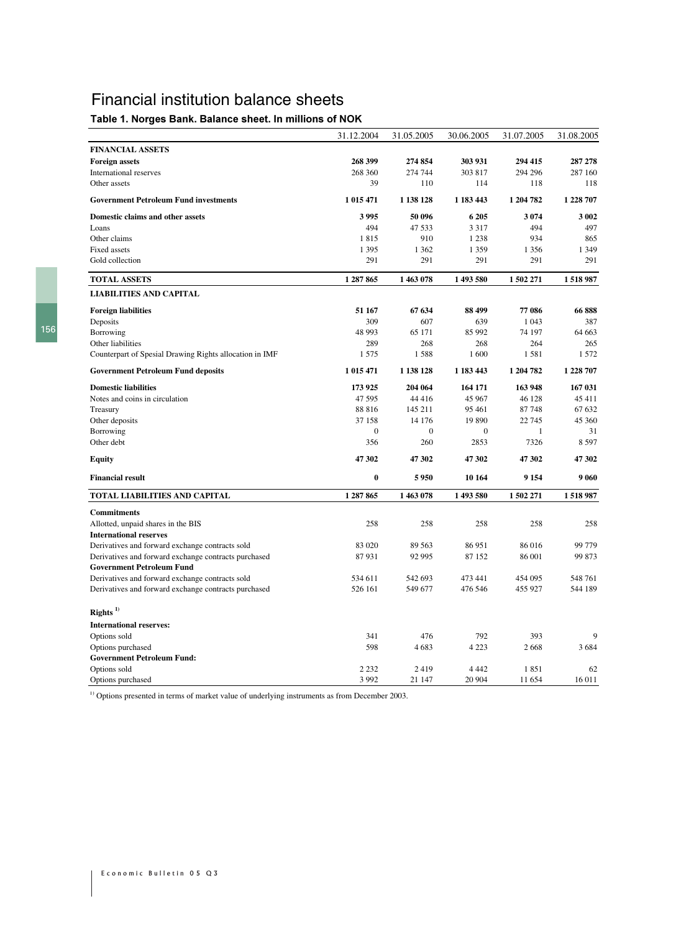# Financial institution balance sheets

## Table 1. Norges Bank. Balance sheet. In millions of NOK

|                                                         | 31.12.2004       | 31.05.2005       | 30.06.2005       | 31.07.2005 | 31.08.2005 |
|---------------------------------------------------------|------------------|------------------|------------------|------------|------------|
| <b>FINANCIAL ASSETS</b>                                 |                  |                  |                  |            |            |
| <b>Foreign assets</b>                                   | 268 399          | 274 854          | 303 931          | 294 415    | 287 278    |
| International reserves                                  | 268 360          | 274 744          | 303 817          | 294 296    | 287 160    |
| Other assets                                            | 39               | 110              | 114              | 118        | 118        |
| <b>Government Petroleum Fund investments</b>            | 1 015 471        | 1 138 128        | 1 183 443        | 1 204 782  | 1 228 707  |
| Domestic claims and other assets                        | 3995             | 50 096           | 6 205            | 3 0 7 4    | 3 0 0 2    |
| Loans                                                   | 494              | 47 533           | 3 3 1 7          | 494        | 497        |
| Other claims                                            | 1815             | 910              | 1 2 3 8          | 934        | 865        |
| <b>Fixed assets</b>                                     | 1 3 9 5          | 1 3 6 2          | 1 3 5 9          | 1 3 5 6    | 1 3 4 9    |
| Gold collection                                         | 291              | 291              | 291              | 291        | 291        |
| <b>TOTAL ASSETS</b>                                     | 1 287 865        | 1463078          | 1493580          | 1502271    | 1518987    |
| <b>LIABILITIES AND CAPITAL</b>                          |                  |                  |                  |            |            |
| <b>Foreign liabilities</b>                              | 51 167           | 67 634           | 88 499           | 77 086     | 66888      |
| Deposits                                                | 309              | 607              | 639              | 1 0 4 3    | 387        |
| Borrowing                                               | 48 993           | 65 171           | 85 992           | 74 197     | 64 663     |
| Other liabilities                                       | 289              | 268              | 268              | 264        | 265        |
| Counterpart of Spesial Drawing Rights allocation in IMF | 1575             | 1588             | 1600             | 1581       | 1 5 7 2    |
| <b>Government Petroleum Fund deposits</b>               | 1 015 471        | 1 138 128        | 1 183 443        | 1 204 782  | 1 228 707  |
| <b>Domestic liabilities</b>                             | 173 925          | 204 064          | 164 171          | 163 948    | 167 031    |
| Notes and coins in circulation                          | 47 595           | 44 416           | 45 967           | 46 128     | 45 411     |
| Treasury                                                | 88 816           | 145 211          | 95 461           | 87 748     | 67 632     |
| Other deposits                                          | 37 158           | 14 176           | 19 890           | 22 745     | 45 360     |
| Borrowing                                               | $\boldsymbol{0}$ | $\boldsymbol{0}$ | $\boldsymbol{0}$ | 1          | 31         |
| Other debt                                              | 356              | 260              | 2853             | 7326       | 8597       |
| <b>Equity</b>                                           | 47 302           | 47 302           | 47 302           | 47 302     | 47 302     |
| <b>Financial result</b>                                 | $\bf{0}$         | 5950             | 10 164           | 9 1 5 4    | 9 0 6 0    |
| TOTAL LIABILITIES AND CAPITAL                           | 1 287 865        | 1463078          | 1493580          | 1502271    | 1518987    |
| <b>Commitments</b>                                      |                  |                  |                  |            |            |
| Allotted, unpaid shares in the BIS                      | 258              | 258              | 258              | 258        | 258        |
| <b>International reserves</b>                           |                  |                  |                  |            |            |
| Derivatives and forward exchange contracts sold         | 83 020           | 89 563           | 86 951           | 86 016     | 99 779     |
| Derivatives and forward exchange contracts purchased    | 87931            | 92 995           | 87 152           | 86 001     | 99 873     |
| <b>Government Petroleum Fund</b>                        |                  |                  |                  |            |            |
| Derivatives and forward exchange contracts sold         | 534 611          | 542 693          | 473 441          | 454 095    | 548 761    |
| Derivatives and forward exchange contracts purchased    | 526 161          | 549 677          | 476 546          | 455 927    | 544 189    |
| Rights $^{1)}$                                          |                  |                  |                  |            |            |
| <b>International reserves:</b>                          |                  |                  |                  |            |            |
| Options sold                                            | 341              | 476              | 792              | 393        | 9          |
| Options purchased                                       | 598              | 4683             | 4 2 2 3          | 2668       | 3684       |
| <b>Government Petroleum Fund:</b>                       |                  |                  |                  |            |            |
| Options sold                                            | 2 2 3 2          | 2419             | 4 4 4 2          | 1851       | 62         |
| Options purchased                                       | 3 9 9 2          | 21 147           | 20 904           | 11 654     | $16\,011$  |

<sup>1)</sup> Options presented in terms of market value of underlying instruments as from December 2003.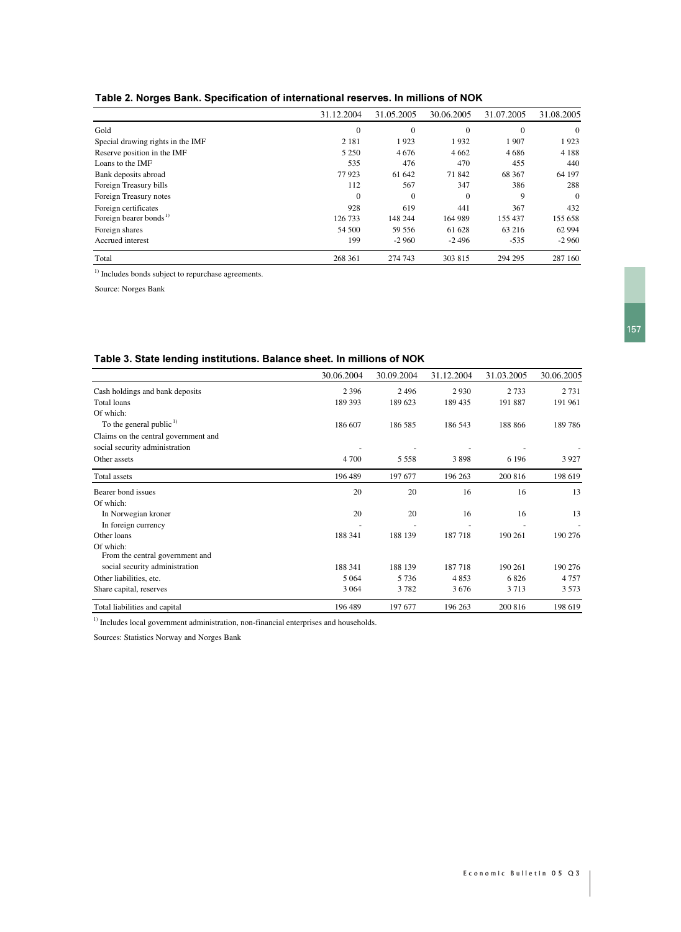| Table 2. Norges Bank. Specification of international reserves. In millions of NOK |  |  |
|-----------------------------------------------------------------------------------|--|--|
|                                                                                   |  |  |

|                                    | 31.12.2004 | 31.05.2005   | 30.06.2005 | 31.07.2005 | 31.08.2005     |
|------------------------------------|------------|--------------|------------|------------|----------------|
| Gold                               | $\theta$   | $\Omega$     | $\Omega$   | $\Omega$   | $\theta$       |
| Special drawing rights in the IMF  | 2 1 8 1    | 1923         | 1932       | 1907       | 1923           |
| Reserve position in the IMF        | 5 2 5 0    | 4676         | 4 6 6 2    | 4 6 8 6    | 4 1 8 8        |
| Loans to the IMF                   | 535        | 476          | 470        | 455        | 440            |
| Bank deposits abroad               | 77923      | 61 642       | 71 842     | 68 367     | 64 197         |
| Foreign Treasury bills             | 112        | 567          | 347        | 386        | 288            |
| Foreign Treasury notes             | $\theta$   | $\mathbf{0}$ | $\Omega$   | 9          | $\overline{0}$ |
| Foreign certificates               | 928        | 619          | 441        | 367        | 432            |
| Foreign bearer bonds <sup>1)</sup> | 126 733    | 148 244      | 164 989    | 155 437    | 155 658        |
| Foreign shares                     | 54 500     | 59 556       | 61 628     | 63 216     | 62 994         |
| Accrued interest                   | 199        | $-2960$      | $-2496$    | $-535$     | $-2960$        |
| Total                              | 268 361    | 274 743      | 303 815    | 294 295    | 287 160        |

 $^{1)}$  Includes bonds subject to repurchase agreements.

Source: Norges Bank

#### Table 3. State lending institutions. Balance sheet. In millions of NOK

|                                      | 30.06.2004 | 30.09.2004 | 31.12.2004 | 31.03.2005 | 30.06.2005 |
|--------------------------------------|------------|------------|------------|------------|------------|
| Cash holdings and bank deposits      | 2 3 9 6    | 2496       | 2930       | 2 7 3 3    | 2 7 3 1    |
| Total loans                          | 189 393    | 189 623    | 189 435    | 191 887    | 191 961    |
| Of which:                            |            |            |            |            |            |
| To the general public $1$ )          | 186 607    | 186 585    | 186 543    | 188 866    | 189786     |
| Claims on the central government and |            |            |            |            |            |
| social security administration       |            |            |            |            |            |
| Other assets                         | 4 7 0 0    | 5 5 5 8    | 3898       | 6 1 9 6    | 3927       |
| Total assets                         | 196 489    | 197 677    | 196 263    | 200 816    | 198 619    |
| Bearer bond issues                   | 20         | 20         | 16         | 16         | 13         |
| Of which:                            |            |            |            |            |            |
| In Norwegian kroner                  | 20         | 20         | 16         | 16         | 13         |
| In foreign currency                  |            |            |            |            |            |
| Other loans                          | 188 341    | 188 139    | 187718     | 190 261    | 190 276    |
| Of which:                            |            |            |            |            |            |
| From the central government and      |            |            |            |            |            |
| social security administration       | 188 341    | 188 139    | 187718     | 190 261    | 190 276    |
| Other liabilities, etc.              | 5 0 6 4    | 5 7 3 6    | 4853       | 6826       | 4757       |
| Share capital, reserves              | 3 0 6 4    | 3782       | 3676       | 3713       | 3573       |
| Total liabilities and capital        | 196 489    | 197 677    | 196 263    | 200 816    | 198 619    |

<sup>1)</sup> Includes local government administration, non-financial enterprises and households.

Sources: Statistics Norway and Norges Bank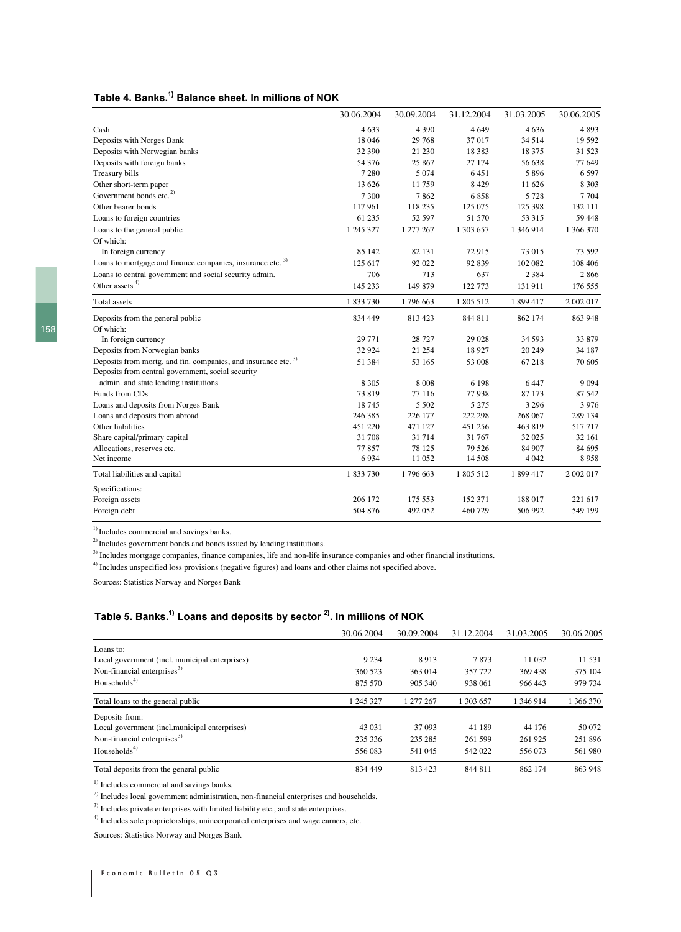### Table 4. Banks.<sup>1)</sup> Balance sheet. In millions of NOK

|                                                                                                                                | 30.06.2004 | 30.09.2004 | 31.12.2004 | 31.03.2005 | 30.06.2005 |
|--------------------------------------------------------------------------------------------------------------------------------|------------|------------|------------|------------|------------|
| Cash                                                                                                                           | 4633       | 4 3 9 0    | 4649       | 4636       | 4893       |
| Deposits with Norges Bank                                                                                                      | 18 04 6    | 29 768     | 37 017     | 34 5 14    | 19 5 9 2   |
| Deposits with Norwegian banks                                                                                                  | 32 390     | 21 230     | 18 3 8 3   | 18 375     | 31 523     |
| Deposits with foreign banks                                                                                                    | 54 376     | 25 867     | 27 174     | 56 638     | 77 649     |
| Treasury bills                                                                                                                 | 7 2 8 0    | 5 0 7 4    | 6451       | 5896       | 6597       |
| Other short-term paper                                                                                                         | 13 626     | 11759      | 8 4 2 9    | 11 626     | 8 3 0 3    |
| Government bonds etc. <sup>2)</sup>                                                                                            | 7 3 0 0    | 7862       | 6858       | 5 7 2 8    | 7704       |
| Other bearer bonds                                                                                                             | 117961     | 118 235    | 125 075    | 125 398    | 132 111    |
| Loans to foreign countries                                                                                                     | 61 235     | 52 597     | 51 570     | 53 315     | 59 448     |
| Loans to the general public                                                                                                    | 1 245 327  | 1 277 267  | 1 303 657  | 1 346 914  | 1 366 370  |
| Of which:                                                                                                                      |            |            |            |            |            |
| In foreign currency                                                                                                            | 85 142     | 82 131     | 72915      | 73 015     | 73 592     |
| Loans to mortgage and finance companies, insurance etc. <sup>3)</sup>                                                          | 125 617    | 92 022     | 92 839     | 102 082    | 108 406    |
| Loans to central government and social security admin.                                                                         | 706        | 713        | 637        | 2 3 8 4    | 2866       |
| Other assets <sup>4)</sup>                                                                                                     | 145 233    | 149 879    | 122 773    | 131 911    | 176 555    |
| Total assets                                                                                                                   | 1833730    | 1796 663   | 1 805 512  | 1 899 417  | 2 002 017  |
| Deposits from the general public                                                                                               | 834 449    | 813 423    | 844 811    | 862 174    | 863 948    |
| Of which:                                                                                                                      |            |            |            |            |            |
| In foreign currency                                                                                                            | 29 771     | 28 7 27    | 29 0 28    | 34 5 93    | 33 879     |
| Deposits from Norwegian banks                                                                                                  | 32 9 24    | 21 254     | 18927      | 20 24 9    | 34 187     |
| Deposits from mortg. and fin. companies, and insurance etc. <sup>3)</sup><br>Deposits from central government, social security | 51 384     | 53 165     | 53 008     | 67218      | 70 605     |
| admin. and state lending institutions                                                                                          | 8 3 0 5    | 8 0 0 8    | 6 1 9 8    | 6447       | 9 0 9 4    |
| Funds from CDs                                                                                                                 | 73819      | 77 116     | 77938      | 87 173     | 87 542     |
| Loans and deposits from Norges Bank                                                                                            | 18745      | 5 5 0 2    | 5 2 7 5    | 3 2 9 6    | 3976       |
| Loans and deposits from abroad                                                                                                 | 246 385    | 226 177    | 222 298    | 268 067    | 289 134    |
| Other liabilities                                                                                                              | 451 220    | 471 127    | 451 256    | 463 819    | 517717     |
| Share capital/primary capital                                                                                                  | 31 708     | 31 7 14    | 31 767     | 32 025     | 32 161     |
| Allocations, reserves etc.                                                                                                     | 77857      | 78 125     | 79 5 26    | 84 907     | 84 695     |
| Net income                                                                                                                     | 6934       | 11 052     | 14 508     | 4 0 4 2    | 8958       |
| Total liabilities and capital                                                                                                  | 1833730    | 1796 663   | 1 805 512  | 1 899 417  | 2 002 017  |
| Specifications:                                                                                                                |            |            |            |            |            |
| Foreign assets                                                                                                                 | 206 172    | 175 553    | 152 371    | 188 017    | 221 617    |
| Foreign debt                                                                                                                   | 504 876    | 492 052    | 460 729    | 506 992    | 549 199    |

<sup>1)</sup> Includes commercial and savings banks.

<sup>2)</sup> Includes government bonds and bonds issued by lending institutions.

<sup>3)</sup> Includes mortgage companies, finance companies, life and non-life insurance companies and other financial institutions.

<sup>4)</sup> Includes unspecified loss provisions (negative figures) and loans and other claims not specified above.

Sources: Statistics Norway and Norges Bank

### Table 5. Banks. $^{\rm 1)}$  Loans and deposits by sector  $^{\rm 2)}$ . In millions of NOK

|                                                | 30.06.2004 | 30.09.2004 | 31.12.2004 | 31.03.2005 | 30.06.2005 |
|------------------------------------------------|------------|------------|------------|------------|------------|
| Loans to:                                      |            |            |            |            |            |
| Local government (incl. municipal enterprises) | 9 2 3 4    | 8913       | 7873       | 11 0 32    | 11 531     |
| Non-financial enterprises $^{3)}$              | 360 523    | 363 014    | 357 722    | 369 438    | 375 104    |
| Households $4)$                                | 875 570    | 905 340    | 938 061    | 966 443    | 979 734    |
| Total loans to the general public              | 1 245 327  | 1 277 267  | 1 303 657  | 1 346 914  | 1 366 370  |
| Deposits from:                                 |            |            |            |            |            |
| Local government (incl.municipal enterprises)  | 43 031     | 37 093     | 41 189     | 44 176     | 50 072     |
| Non-financial enterprises <sup>3)</sup>        | 235 336    | 235 285    | 261 599    | 261 925    | 251896     |
| Households $4$ )                               | 556 083    | 541 045    | 542 022    | 556 073    | 561 980    |
| Total deposits from the general public         | 834 449    | 813 423    | 844 811    | 862 174    | 863 948    |

<sup>1)</sup> Includes commercial and savings banks.

<sup>2)</sup> Includes local government administration, non-financial enterprises and households.

<sup>3)</sup> Includes private enterprises with limited liability etc., and state enterprises.

<sup>4)</sup> Includes sole proprietorships, unincorporated enterprises and wage earners, etc.

Sources: Statistics Norway and Norges Bank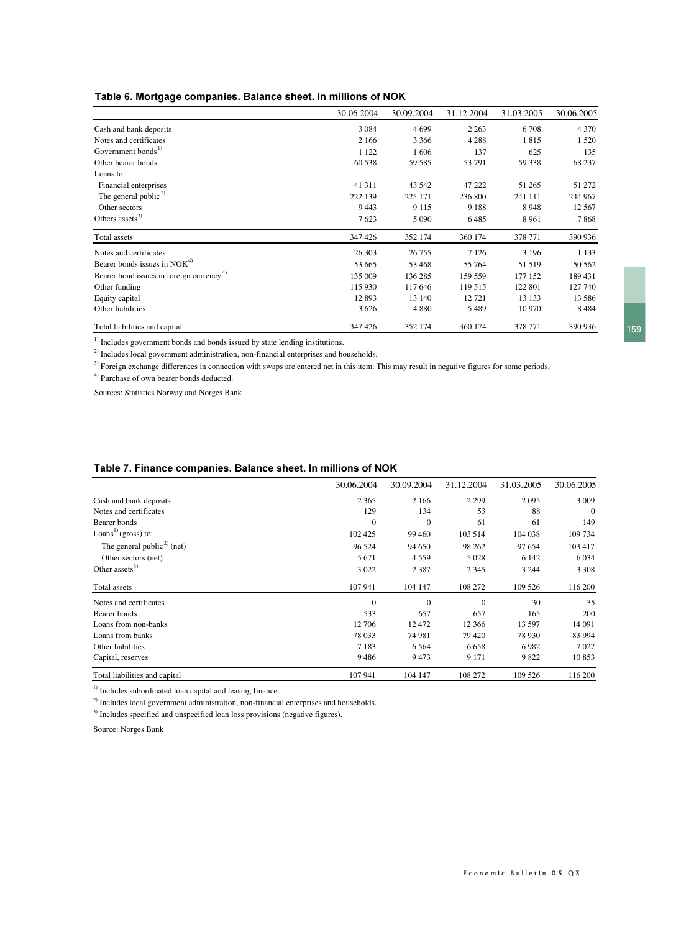#### Table 6. Mortgage companies. Balance sheet. In millions of NOK

|                                                      | 30.06.2004 | 30.09.2004 | 31.12.2004 | 31.03.2005 | 30.06.2005 |
|------------------------------------------------------|------------|------------|------------|------------|------------|
| Cash and bank deposits                               | 3 0 8 4    | 4699       | 2 2 6 3    | 6 708      | 4 3 7 0    |
| Notes and certificates                               | 2 1 6 6    | 3 3 6 6    | 4 2 8 8    | 1815       | 1 5 2 0    |
| Government bonds <sup>1)</sup>                       | 1 1 2 2    | 1606       | 137        | 625        | 135        |
| Other bearer bonds                                   | 60 538     | 59 585     | 53 791     | 59 338     | 68 237     |
| Loans to:                                            |            |            |            |            |            |
| Financial enterprises                                | 41 311     | 43 542     | 47 222     | 51 265     | 51 272     |
| The general public <sup>2)</sup>                     | 222 139    | 225 171    | 236 800    | 241 111    | 244 967    |
| Other sectors                                        | 9443       | 9 1 1 5    | 9 1 8 8    | 8948       | 12 5 67    |
| Others assets <sup>3)</sup>                          | 7623       | 5 0 9 0    | 6485       | 8 9 6 1    | 7868       |
| Total assets                                         | 347 426    | 352 174    | 360 174    | 378 771    | 390 936    |
| Notes and certificates                               | 26 30 3    | 26 755     | 7 1 2 6    | 3 1 9 6    | 1 1 3 3    |
| Bearer bonds issues in NOK <sup>4)</sup>             | 53 665     | 53 468     | 55 764     | 51 519     | 50 562     |
| Bearer bond issues in foreign currency <sup>4)</sup> | 135 009    | 136 285    | 159 559    | 177 152    | 189 431    |
| Other funding                                        | 115 930    | 117 646    | 119 515    | 122 801    | 127 740    |
| Equity capital                                       | 12 893     | 13 140     | 12721      | 13 133     | 13 5 8 6   |
| Other liabilities                                    | 3 6 2 6    | 4 8 8 0    | 5489       | 10 970     | 8484       |
| Total liabilities and capital                        | 347 426    | 352 174    | 360 174    | 378 771    | 390 936    |

<sup>1)</sup> Includes government bonds and bonds issued by state lending institutions.

<sup>2)</sup> Includes local government administration, non-financial enterprises and households.

<sup>3)</sup> Foreign exchange differences in connection with swaps are entered net in this item. This may result in negative figures for some periods.

4) Purchase of own bearer bonds deducted.

Sources: Statistics Norway and Norges Bank

#### Table 7. Finance companies. Balance sheet. In millions of NOK

|                                        | 30.06.2004 | 30.09.2004 | 31.12.2004 | 31.03.2005 | 30.06.2005 |
|----------------------------------------|------------|------------|------------|------------|------------|
| Cash and bank deposits                 | 2 3 6 5    | 2 1 6 6    | 2 2 9 9    | 2095       | 3 0 0 9    |
| Notes and certificates                 | 129        | 134        | 53         | 88         | $\Omega$   |
| Bearer bonds                           | $\Omega$   | $\Omega$   | 61         | 61         | 149        |
| Loans <sup>1)</sup> (gross) to:        | 102 425    | 99 460     | 103 514    | 104 038    | 109 734    |
| The general public <sup>2)</sup> (net) | 96 524     | 94 650     | 98 262     | 97 654     | 103 417    |
| Other sectors (net)                    | 5 6 7 1    | 4 5 5 9    | 5 0 28     | 6 1 4 2    | 6 0 3 4    |
| Other assets <sup>3)</sup>             | 3 0 2 2    | 2 3 8 7    | 2 3 4 5    | 3 2 4 4    | 3 3 0 8    |
| Total assets                           | 107 941    | 104 147    | 108 272    | 109 526    | 116 200    |
| Notes and certificates                 | $\Omega$   | $\Omega$   | $\Omega$   | 30         | 35         |
| Bearer bonds                           | 533        | 657        | 657        | 165        | 200        |
| Loans from non-banks                   | 12 70 6    | 12472      | 12 3 6 6   | 13 597     | 14 091     |
| Loans from banks                       | 78 0 33    | 74 981     | 79 4 20    | 78 930     | 83 994     |
| Other liabilities                      | 7 1 8 3    | 6 5 6 4    | 6 6 5 8    | 6982       | 7027       |
| Capital, reserves                      | 9486       | 9473       | 9 1 7 1    | 9822       | 10853      |
| Total liabilities and capital          | 107 941    | 104 147    | 108 272    | 109 526    | 116 200    |

 $<sup>1)</sup>$  Includes subordinated loan capital and leasing finance.</sup>

<sup>2)</sup> Includes local government administration, non-financial enterprises and households.

<sup>3)</sup> Includes specified and unspecified loan loss provisions (negative figures).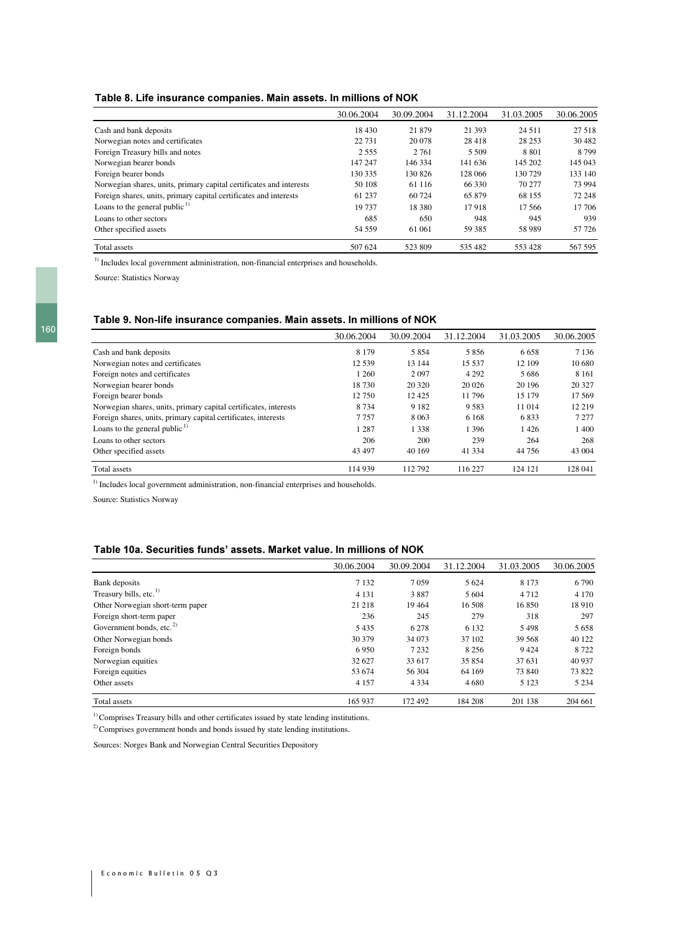#### Table 8. Life insurance companies. Main assets. In millions of NOK

|                                                                     | 30.06.2004 | 30.09.2004 | 31.12.2004 | 31.03.2005 | 30.06.2005 |
|---------------------------------------------------------------------|------------|------------|------------|------------|------------|
| Cash and bank deposits                                              | 18 4 30    | 21879      | 21 393     | 24 5 11    | 27 518     |
| Norwegian notes and certificates                                    | 22 731     | 20 078     | 28 418     | 28 25 3    | 30 4 82    |
| Foreign Treasury bills and notes                                    | 2 5 5 5    | 2 7 6 1    | 5 5 0 9    | 8 8 0 1    | 8799       |
| Norwegian bearer bonds                                              | 147 247    | 146 334    | 141 636    | 145 202    | 145 043    |
| Foreign bearer bonds                                                | 130 335    | 130 826    | 128 066    | 130 729    | 133 140    |
| Norwegian shares, units, primary capital certificates and interests | 50 108     | 61 116     | 66 330     | 70 277     | 73 994     |
| Foreign shares, units, primary capital certificates and interests   | 61 237     | 60 724     | 65 879     | 68 155     | 72 248     |
| Loans to the general public $\frac{1}{2}$                           | 19 737     | 18 380     | 17918      | 17.566     | 17 706     |
| Loans to other sectors                                              | 685        | 650        | 948        | 945        | 939        |
| Other specified assets                                              | 54 559     | 61 061     | 59 385     | 58 989     | 57 726     |
| Total assets                                                        | 507 624    | 523 809    | 535 482    | 553 428    | 567 595    |

<sup>1)</sup> Includes local government administration, non-financial enterprises and households.

Source: Statistics Norway

#### Table 9. Non-life insurance companies. Main assets. In millions of NOK

|                                                                  | 30.06.2004 | 30.09.2004 | 31.12.2004 | 31.03.2005 | 30.06.2005 |
|------------------------------------------------------------------|------------|------------|------------|------------|------------|
| Cash and bank deposits                                           | 8 1 7 9    | 5854       | 5856       | 6 6 5 8    | 7 1 3 6    |
| Norwegian notes and certificates                                 | 12 5 39    | 13 144     | 15 5 37    | 12 109     | 10 680     |
| Foreign notes and certificates                                   | 1 260      | 2 0 9 7    | 4 2 9 2    | 5 6 8 6    | 8 1 6 1    |
| Norwegian bearer bonds                                           | 18730      | 20 320     | 20 0 26    | 20 19 6    | 20 327     |
| Foreign bearer bonds                                             | 12 750     | 12425      | 11796      | 15 179     | 17569      |
| Norwegian shares, units, primary capital certificates, interests | 8 7 3 4    | 9 1 8 2    | 9 5 8 3    | 11 014     | 12 219     |
| Foreign shares, units, primary capital certificates, interests   | 7757       | 8 0 6 3    | 6 1 6 8    | 6833       | 7 2 7 7    |
| Loans to the general public $\frac{1}{1}$                        | 1 2 8 7    | 1 3 3 8    | 1 3 9 6    | 1426       | 1 400      |
| Loans to other sectors                                           | 206        | 200        | 239        | 264        | 268        |
| Other specified assets                                           | 43 497     | 40 169     | 41 3 3 4   | 44 756     | 43 004     |
| Total assets                                                     | 114 939    | 112792     | 116 227    | 124 121    | 128 041    |

<sup>1)</sup> Includes local government administration, non-financial enterprises and households.

Source: Statistics Norway

#### Table 10a. Securities funds' assets. Market value. In millions of NOK

|                                      | 30.06.2004 | 30.09.2004 | 31.12.2004 | 31.03.2005 | 30.06.2005 |
|--------------------------------------|------------|------------|------------|------------|------------|
| Bank deposits                        | 7 1 3 2    | 7059       | 5 6 24     | 8 1 7 3    | 6 7 9 0    |
| Treasury bills, etc. <sup>1)</sup>   | 4 1 3 1    | 3887       | 5 6 0 4    | 4 7 1 2    | 4 1 7 0    |
| Other Norwegian short-term paper     | 21 218     | 19464      | 16 508     | 16850      | 18 9 10    |
| Foreign short-term paper             | 236        | 245        | 279        | 318        | 297        |
| Government bonds, etc. <sup>2)</sup> | 5435       | 6 2 7 8    | 6 1 3 2    | 5498       | 5 6 5 8    |
| Other Norwegian bonds                | 30 379     | 34 073     | 37 102     | 39 5 68    | 40 122     |
| Foreign bonds                        | 6950       | 7 2 3 2    | 8 2 5 6    | 9424       | 8 7 2 2    |
| Norwegian equities                   | 32 627     | 33 617     | 35 854     | 37 631     | 40 937     |
| Foreign equities                     | 53 674     | 56 304     | 64 169     | 73 840     | 73 822     |
| Other assets                         | 4 1 5 7    | 4 3 3 4    | 4 6 8 0    | 5 1 2 3    | 5 2 3 4    |
| Total assets                         | 165 937    | 172492     | 184 208    | 201 138    | 204 661    |

 $^{\rm 1)}$  Comprises Treasury bills and other certificates issued by state lending institutions.

<sup>2)</sup> Comprises government bonds and bonds issued by state lending institutions.

Sources: Norges Bank and Norwegian Central Securities Depository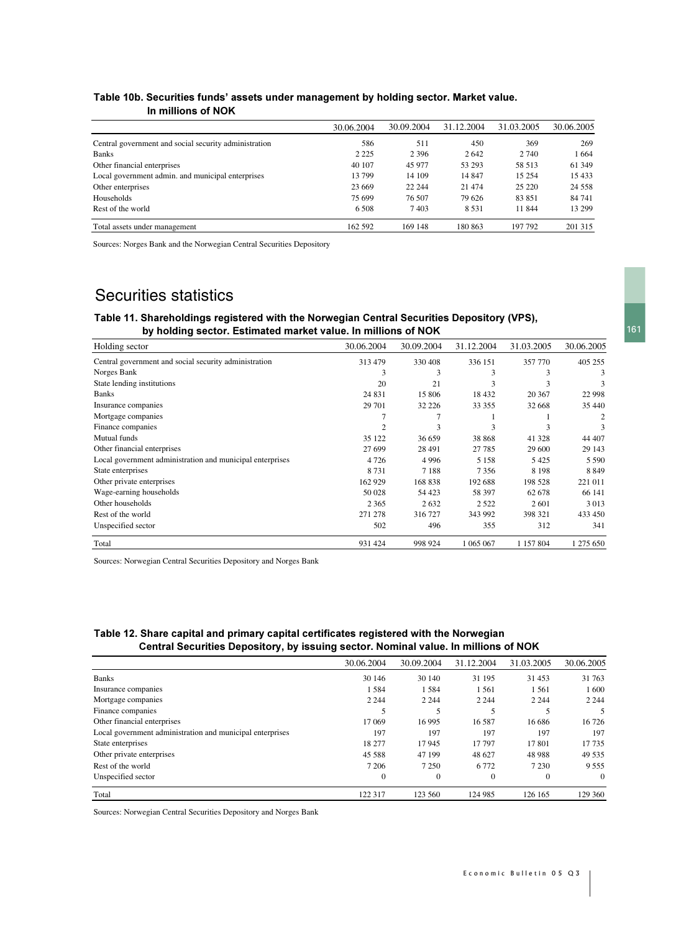#### Table 10b. Securities funds' assets under management by holding sector. Market value. In millions of NOK

|                                                       | 30.06.2004 | 30.09.2004 | 31.12.2004 | 31.03.2005 | 30.06.2005 |
|-------------------------------------------------------|------------|------------|------------|------------|------------|
| Central government and social security administration | 586        | 511        | 450        | 369        | 269        |
| <b>Banks</b>                                          | 2 2 2 5    | 2 3 9 6    | 2642       | 2 740      | 1664       |
| Other financial enterprises                           | 40 107     | 45 977     | 53 293     | 58 513     | 61 349     |
| Local government admin. and municipal enterprises     | 13 799     | 14 109     | 14 847     | 15 254     | 15 4 33    |
| Other enterprises                                     | 23 6 6 9   | 22 244     | 21 4 7 4   | 25 220     | 24 5 5 8   |
| Households                                            | 75 699     | 76 507     | 79 626     | 83 851     | 84 741     |
| Rest of the world                                     | 6.508      | 7403       | 8 5 3 1    | 11 844     | 13 299     |
| Total assets under management                         | 162 592    | 169 148    | 180 863    | 197 792    | 201 315    |

Sources: Norges Bank and the Norwegian Central Securities Depository

# Securities statistics

## Table 11. Shareholdings registered with the Norwegian Central Securities Depository (VPS), by holding sector. Estimated market value. In millions of NOK

| Holding sector                                            | 30.06.2004 | 30.09.2004 | 31.12.2004 | 31.03.2005 | 30.06.2005 |
|-----------------------------------------------------------|------------|------------|------------|------------|------------|
| Central government and social security administration     | 313 479    | 330 408    | 336 151    | 357 770    | 405 255    |
| Norges Bank                                               | 3          | 3          | 3          | 3          | 3          |
| State lending institutions                                | 20         | 21         | 3          | 3          | 3          |
| Banks                                                     | 24 8 31    | 15 806     | 18 4 32    | 20 367     | 22 9 98    |
| Insurance companies                                       | 29 701     | 32 2 2 6   | 33 355     | 32 668     | 35 440     |
| Mortgage companies                                        |            |            |            |            | 2          |
| Finance companies                                         | 2          | 3          | 3          | 3          | 3          |
| Mutual funds                                              | 35 122     | 36 659     | 38 868     | 41 328     | 44 407     |
| Other financial enterprises                               | 27 699     | 28 491     | 27 785     | 29 600     | 29 143     |
| Local government administration and municipal enterprises | 4726       | 4 9 9 6    | 5 1 5 8    | 5425       | 5 5 9 0    |
| State enterprises                                         | 8731       | 7 1 8 8    | 7356       | 8 1 9 8    | 8849       |
| Other private enterprises                                 | 162 929    | 168 838    | 192 688    | 198 528    | 221 011    |
| Wage-earning households                                   | 50 028     | 54 4 23    | 58 397     | 62 678     | 66 141     |
| Other households                                          | 2 3 6 5    | 2632       | 2 5 2 2    | 2601       | 3013       |
| Rest of the world                                         | 271 278    | 316 727    | 343 992    | 398 321    | 433 450    |
| Unspecified sector                                        | 502        | 496        | 355        | 312        | 341        |
| Total                                                     | 931 424    | 998 924    | 1 065 067  | 1 157 804  | 1 275 650  |

Sources: Norwegian Central Securities Depository and Norges Bank

# Table 12. Share capital and primary capital certificates registered with the Norwegian Central Securities Depository, by issuing sector. Nominal value. In millions of NOK

|                                                           | 30.06.2004   | 30.09.2004   | 31.12.2004   | 31.03.2005 | 30.06.2005 |
|-----------------------------------------------------------|--------------|--------------|--------------|------------|------------|
| <b>Banks</b>                                              | 30 146       | 30 140       | 31 195       | 31 453     | 31763      |
| Insurance companies                                       | 1584         | 1584         | 1561         | 1 5 6 1    | 1600       |
| Mortgage companies                                        | 2 2 4 4      | 2 2 4 4      | 2 2 4 4      | 2 2 4 4    | 2 2 4 4    |
| Finance companies                                         |              |              |              |            | 5          |
| Other financial enterprises                               | 17 069       | 16 9 95      | 16 5 87      | 16 68 6    | 16 7 26    |
| Local government administration and municipal enterprises | 197          | 197          | 197          | 197        | 197        |
| State enterprises                                         | 18 277       | 17945        | 17 797       | 17801      | 17735      |
| Other private enterprises                                 | 45 5 88      | 47 199       | 48 627       | 48 988     | 49 5 35    |
| Rest of the world                                         | 7 2 0 6      | 7 2 5 0      | 6 7 7 2      | 7 2 3 0    | 9 5 5 5    |
| Unspecified sector                                        | $\mathbf{0}$ | $\mathbf{0}$ | $\mathbf{0}$ | $\theta$   | $\Omega$   |
| Total                                                     | 122 317      | 123 560      | 124 985      | 126 165    | 129 360    |

Sources: Norwegian Central Securities Depository and Norges Bank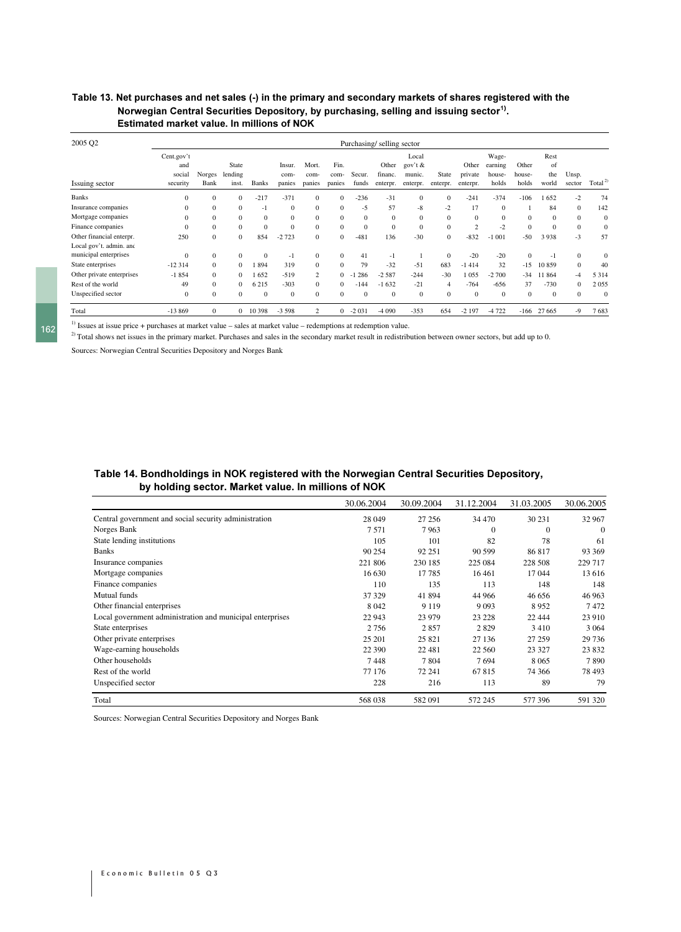## Table 13. Net purchases and net sales (-) in the primary and secondary markets of shares registered with the Norwegian Central Securities Depository, by purchasing, selling and issuing sector<sup>1)</sup>. Estimated market value. In millions of NOK

| 2005 Q2                   |              |                |          |              |              |                |              |          | Purchasing/selling sector |          |                |                |                |              |              |              |                    |
|---------------------------|--------------|----------------|----------|--------------|--------------|----------------|--------------|----------|---------------------------|----------|----------------|----------------|----------------|--------------|--------------|--------------|--------------------|
|                           | Cent.gov't   |                |          |              |              |                |              |          |                           | Local    |                |                | Wage-          |              | Rest         |              |                    |
|                           | and          |                | State    |              | Insur.       | Mort.          | Fin.         |          | Other                     | gov't &  |                | Other          | earning        | Other        | of           |              |                    |
|                           | social       | Norges         | lending  |              | com-         | com-           | com-         | Secur.   | financ.                   | munic.   | State          | private        | house-         | house-       | the          | Unsp.        |                    |
| Issuing sector            | security     | Bank           | inst.    | <b>Banks</b> | panies       | panies         | panies       | funds    | enterpr.                  | enterpr. | enterpr.       | enterpr.       | holds          | holds        | world        | sector       | Total <sup>2</sup> |
| <b>Banks</b>              | $\mathbf{0}$ | $\mathbf{0}$   | $\Omega$ | $-217$       | $-371$       | $\mathbf{0}$   | $\Omega$     | $-236$   | $-31$                     | $\Omega$ | $\mathbf{0}$   | $-241$         | $-374$         | $-106$       | 652          | $-2$         | 74                 |
| Insurance companies       | $\mathbf{0}$ | $\mathbf{0}$   | $\Omega$ | -1           | $\Omega$     | $\mathbf{0}$   | $\Omega$     | -5       | 57                        | -8       | $-2$           | 17             | $\overline{0}$ |              | 84           | $\mathbf{0}$ | 142                |
| Mortgage companies        | $\mathbf{0}$ | $\mathbf{0}$   | $\Omega$ | $\Omega$     | $\Omega$     | $\mathbf{0}$   | $\Omega$     | $\Omega$ | $\Omega$                  | $\Omega$ | $\mathbf{0}$   | $\overline{0}$ | $\mathbf{0}$   | $\mathbf{0}$ | $\Omega$     | $\mathbf{0}$ | $\mathbf{0}$       |
| Finance companies         | $\mathbf{0}$ | $\mathbf{0}$   | $\Omega$ | $\Omega$     | $\Omega$     | $\mathbf{0}$   | $\Omega$     | $\Omega$ | $\Omega$                  | $\Omega$ | $\mathbf{0}$   | $\overline{2}$ | $-2$           | $\Omega$     | $\Omega$     | $\mathbf{0}$ | $\Omega$           |
| Other financial enterpr.  | 250          | $\mathbf{0}$   | $\Omega$ | 854          | $-2723$      | $\mathbf{0}$   | $\Omega$     | $-481$   | 136                       | $-30$    | $\mathbf{0}$   | $-832$         | $-1001$        | $-50$        | 3938         | $-3$         | 57                 |
| Local gov't. admin. and   |              |                |          |              |              |                |              |          |                           |          |                |                |                |              |              |              |                    |
| municipal enterprises     | $\mathbf{0}$ | $\mathbf{0}$   | $\Omega$ | $\Omega$     | -1           | $\mathbf{0}$   | $\Omega$     | 41       | $-1$                      |          | $\mathbf{0}$   | $-20$          | $-20$          | $\Omega$     | $^{-1}$      | $\mathbf{0}$ | $\mathbf{0}$       |
| State enterprises         | $-12314$     | $\overline{0}$ | $\Omega$ | 894          | 319          | $\mathbf{0}$   | $\mathbf{0}$ | 79       | $-32$                     | $-51$    | 683            | $-1414$        | 32             | $-15$        | 10859        | $\mathbf{0}$ | 40                 |
| Other private enterprises | $-1854$      | $\mathbf{0}$   | $\Omega$ | 652          | $-519$       | 2              | $\Omega$     | 286      | $-2.587$                  | $-244$   | $-30$          | 1055           | $-2700$        | $-34$        | 1864         | $-4$         | 5 3 1 4            |
| Rest of the world         | 49           | $\mathbf{0}$   | 0        | 6 2 1 5      | $-303$       | $\mathbf{0}$   | $\Omega$     | $-144$   | $-1632$                   | $-21$    | $\overline{4}$ | $-764$         | -656           | 37           | $-730$       | $\mathbf{0}$ | 2055               |
| Unspecified sector        | $\mathbf{0}$ | $\mathbf{0}$   | $\Omega$ | $\Omega$     | $\mathbf{0}$ | $\mathbf{0}$   | $\Omega$     | $\Omega$ | $\Omega$                  | $\Omega$ | $\mathbf{0}$   | $\mathbf{0}$   | $\mathbf{0}$   | $\Omega$     | $\mathbf{0}$ | $\mathbf{0}$ | $\Omega$           |
| Total                     | $-13869$     | $\mathbf{0}$   |          | 10 398       | $-3598$      | $\overline{2}$ | 0            | $-2031$  | $-4090$                   | $-353$   | 654            | $-2197$        | $-4722$        | -166         | 27 665       | $-9$         | 7683               |

<sup>1)</sup> Issues at issue price + purchases at market value – sales at market value – redemptions at redemption value.

 $^{2)}$  Total shows net issues in the primary market. Purchases and sales in the secondary market result in redistribution between owner sectors, but add up to 0.

Sources: Norwegian Central Securities Depository and Norges Bank

## Table 14. Bondholdings in NOK registered with the Norwegian Central Securities Depository, by holding sector. Market value. In millions of NOK

|                                                           | 30.06.2004 | 30.09.2004 | 31.12.2004 | 31.03.2005   | 30.06.2005 |
|-----------------------------------------------------------|------------|------------|------------|--------------|------------|
| Central government and social security administration     | 28 049     | 27 25 6    | 34 470     | 30 231       | 32 967     |
| Norges Bank                                               | 7571       | 7963       | $\theta$   | $\mathbf{0}$ | $\theta$   |
| State lending institutions                                | 105        | 101        | 82         | 78           | 61         |
| <b>Banks</b>                                              | 90 254     | 92 251     | 90 599     | 86817        | 93 369     |
| Insurance companies                                       | 221 806    | 230 185    | 225 084    | 228 508      | 229 717    |
| Mortgage companies                                        | 16 630     | 17785      | 16 4 61    | 17044        | 13 616     |
| Finance companies                                         | 110        | 135        | 113        | 148          | 148        |
| <b>Mutual</b> funds                                       | 37 329     | 41 894     | 44 966     | 46 656       | 46 963     |
| Other financial enterprises                               | 8 0 4 2    | 9 1 1 9    | 9 0 9 3    | 8952         | 7472       |
| Local government administration and municipal enterprises | 22 943     | 23 979     | 23 228     | 22 4 44      | 23 910     |
| State enterprises                                         | 2 7 5 6    | 2857       | 2829       | 3410         | 3 0 6 4    |
| Other private enterprises                                 | 25 201     | 25 8 21    | 27 136     | 27 259       | 29 736     |
| Wage-earning households                                   | 22 390     | 22 4 8 1   | 22 560     | 23 3 27      | 23 832     |
| Other households                                          | 7448       | 7804       | 7694       | 8 0 6 5      | 7890       |
| Rest of the world                                         | 77 176     | 72 241     | 67815      | 74 366       | 78 493     |
| Unspecified sector                                        | 228        | 216        | 113        | 89           | 79         |
| Total                                                     | 568 038    | 582091     | 572 245    | 577 396      | 591 320    |

Sources: Norwegian Central Securities Depository and Norges Bank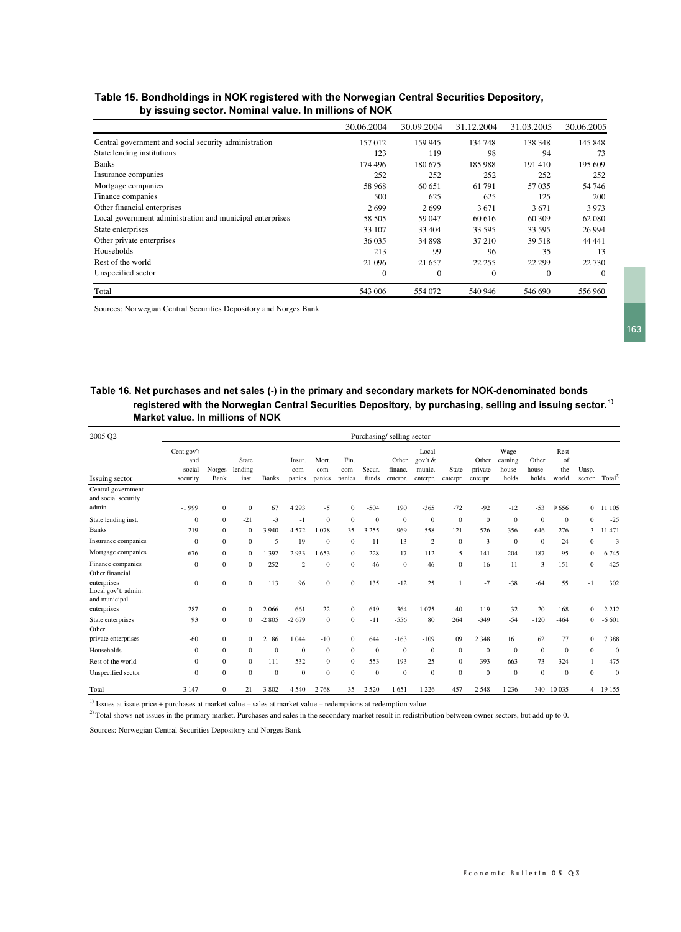### Table 15. Bondholdings in NOK registered with the Norwegian Central Securities Depository, by issuing sector. Nominal value. In millions of NOK

|                                                           | 30.06.2004     | 30.09.2004   | 31.12.2004   | 31.03.2005 | 30.06.2005 |
|-----------------------------------------------------------|----------------|--------------|--------------|------------|------------|
| Central government and social security administration     | 157 012        | 159 945      | 134 748      | 138 348    | 145 848    |
| State lending institutions                                | 123            | 119          | 98           | 94         | 73         |
| <b>Banks</b>                                              | 174 496        | 180 675      | 185 988      | 191410     | 195 609    |
| Insurance companies                                       | 252            | 252          | 252          | 252        | 252        |
| Mortgage companies                                        | 58 968         | 60 651       | 61 791       | 57 0 35    | 54 74 6    |
| Finance companies                                         | 500            | 625          | 625          | 125        | 200        |
| Other financial enterprises                               | 2699           | 2699         | 3671         | 3671       | 3973       |
| Local government administration and municipal enterprises | 58 505         | 59 047       | 60 616       | 60 309     | 62 080     |
| State enterprises                                         | 33 107         | 33 404       | 33 595       | 33 595     | 26 9 94    |
| Other private enterprises                                 | 36 0 35        | 34 898       | 37 210       | 39 518     | 44 44 1    |
| Households                                                | 213            | 99           | 96           | 35         | 13         |
| Rest of the world                                         | 21 096         | 21 657       | 22 2 5 5     | 22 29 9    | 22 730     |
| Unspecified sector                                        | $\overline{0}$ | $\mathbf{0}$ | $\mathbf{0}$ | $\theta$   | $\Omega$   |
| Total                                                     | 543 006        | 554 072      | 540 946      | 546 690    | 556 960    |

Sources: Norwegian Central Securities Depository and Norges Bank

# Table 16. Net purchases and net sales (-) in the primary and secondary markets for NOK-denominated bonds registered with the Norwegian Central Securities Depository, by purchasing, selling and issuing sector. $^{\rm 1)}$ Market value. In millions of NOK

| 2005 Q2                                             |                                         |                              |                                |                 |                          |                             |                          |                           | Purchasing/selling sector    |                                        |                     |                              |                                     |                          |                            |                              |                    |
|-----------------------------------------------------|-----------------------------------------|------------------------------|--------------------------------|-----------------|--------------------------|-----------------------------|--------------------------|---------------------------|------------------------------|----------------------------------------|---------------------|------------------------------|-------------------------------------|--------------------------|----------------------------|------------------------------|--------------------|
| Issuing sector                                      | Cent.gov't<br>and<br>social<br>security | Norges<br>Bank               | State<br>lending<br>inst.      | <b>Banks</b>    | Insur.<br>com-<br>panies | Mort.<br>com-<br>panies     | Fin.<br>com-<br>panies   | Secur.<br>funds           | Other<br>financ.<br>enterpr. | Local<br>gov't &<br>munic.<br>enterpr. | State<br>enterpr.   | Other<br>private<br>enterpr. | Wage-<br>earning<br>house-<br>holds | Other<br>house-<br>holds | Rest<br>of<br>the<br>world | Unsp.<br>sector              | Total <sup>2</sup> |
| Central government<br>and social security<br>admin. | $-1999$                                 | $\mathbf{0}$                 | $\mathbf{0}$                   | 67              | 4 2 9 3                  | $-5$                        | $\mathbf{0}$             | $-504$                    | 190                          | $-365$                                 | $-72$               | $-92$                        | $-12$                               | $-53$                    | 9656                       | $\Omega$                     | 11 105             |
| State lending inst.<br><b>Banks</b>                 | $\boldsymbol{0}$<br>$-219$              | $\mathbf{0}$<br>$\mathbf{0}$ | $-21$<br>$\mathbf{0}$          | $-3$<br>3 9 4 0 | $-1$<br>4572             | $\mathbf{0}$<br>078<br>$-1$ | $\mathbf{0}$<br>35       | $\overline{0}$<br>3 2 5 5 | $\boldsymbol{0}$<br>$-969$   | $\boldsymbol{0}$<br>558                | $\mathbf{0}$<br>121 | $\mathbf{0}$<br>526          | $\boldsymbol{0}$<br>356             | $\theta$<br>646          | $\mathbf{0}$<br>$-276$     | $\mathbf{0}$<br>3            | $-25$<br>11 471    |
| Insurance companies<br>Mortgage companies           | $\mathbf{0}$<br>$-676$                  | $\mathbf{0}$<br>$\Omega$     | $\mathbf{0}$<br>$\overline{0}$ | $-5$<br>$-1392$ | 19<br>$-2933$            | $\mathbf{0}$<br>$-1653$     | $\mathbf{0}$<br>$\Omega$ | $-11$<br>228              | 13<br>17                     | 2<br>$-112$                            | $\mathbf{0}$<br>-5  | $\overline{3}$<br>$-141$     | $\mathbf{0}$<br>204                 | $\mathbf{0}$<br>$-187$   | $-24$<br>$-95$             | $\mathbf{0}$<br>$\mathbf{0}$ | $-3$<br>$-6745$    |
| Finance companies<br>Other financial                | $\mathbf{0}$                            | $\mathbf{0}$                 | $\mathbf{0}$                   | $-252$          | $\overline{2}$           | $\overline{0}$              | $\mathbf{0}$             | $-46$                     | $\mathbf{0}$                 | 46                                     | $\mathbf{0}$        | $-16$                        | $-11$                               | 3                        | $-151$                     | $\mathbf{0}$                 | $-425$             |
| enterprises<br>Local gov't. admin.<br>and municipal | $\boldsymbol{0}$                        | $\mathbf{0}$                 | $\mathbf{0}$                   | 113             | 96                       | $\mathbf{0}$                | $\mathbf{0}$             | 135                       | $-12$                        | 25                                     | $\mathbf{1}$        | $-7$                         | $-38$                               | $-64$                    | 55                         | $-1$                         | 302                |
| enterprises                                         | $-287$                                  | $\Omega$                     | $\mathbf{0}$                   | 2 0 6 6         | 661                      | $-22$                       | $\mathbf{0}$             | $-619$                    | $-364$                       | 1075                                   | 40                  | $-119$                       | $-32$                               | $-20$                    | $-168$                     | $\Omega$                     | 2 2 1 2            |
| State enterprises<br>Other                          | 93                                      | $\mathbf{0}$                 | $\overline{0}$                 | $-2805$         | $-2679$                  | $\mathbf{0}$                | $\mathbf{0}$             | $-11$                     | $-556$                       | 80                                     | 264                 | $-349$                       | $-54$                               | $-120$                   | $-464$                     | $\mathbf{0}$                 | $-6601$            |
| private enterprises                                 | $-60$                                   | $\mathbf{0}$                 | $\overline{0}$                 | 2 1 8 6         | 1044                     | $-10$                       | $\mathbf{0}$             | 644                       | $-163$                       | $-109$                                 | 109                 | 2 3 4 8                      | 161                                 | 62                       | 1 1 7 7                    | $\Omega$                     | 7388               |
| Households                                          | $\mathbf{0}$                            | $\mathbf{0}$                 | $\mathbf{0}$                   | $\mathbf{0}$    | $\mathbf{0}$             | $\mathbf{0}$                | $\overline{0}$           | $\overline{0}$            | $\theta$                     | $\overline{0}$                         | $\mathbf{0}$        | $\mathbf{0}$                 | $\mathbf{0}$                        | $\theta$                 | $\mathbf{0}$               | $\mathbf{0}$                 | $\mathbf{0}$       |
| Rest of the world                                   | $\mathbf{0}$                            | $\mathbf{0}$                 | $\mathbf{0}$                   | $-111$          | $-532$                   | $\mathbf{0}$                | $\mathbf{0}$             | $-553$                    | 193                          | 25                                     | $\mathbf{0}$        | 393                          | 663                                 | 73                       | 324                        |                              | 475                |
| Unspecified sector                                  | $\boldsymbol{0}$                        | $\mathbf{0}$                 | $\mathbf{0}$                   | $\mathbf{0}$    | $\mathbf{0}$             | $\mathbf{0}$                | $\overline{0}$           | $\overline{0}$            | $\theta$                     | $\boldsymbol{0}$                       | $\mathbf{0}$        | $\mathbf{0}$                 | $\boldsymbol{0}$                    | $\mathbf{0}$             | $\mathbf{0}$               | $\mathbf{0}$                 | $\mathbf{0}$       |
| Total                                               | $-3147$                                 | $\Omega$                     | $-21$                          | 3 802           | 4 5 4 0                  | $-2768$                     | 35                       | 2 5 2 0                   | $-1651$                      | 1 2 2 6                                | 457                 | 2548                         | 1 2 3 6                             | 340                      | 10 0 35                    | $\overline{4}$               | 19 155             |

<sup>1)</sup> Issues at issue price + purchases at market value – sales at market value – redemptions at redemption value.

 $^{2)}$  Total shows net issues in the primary market. Purchases and sales in the secondary market result in redistribution between owner sectors, but add up to 0.

Sources: Norwegian Central Securities Depository and Norges Bank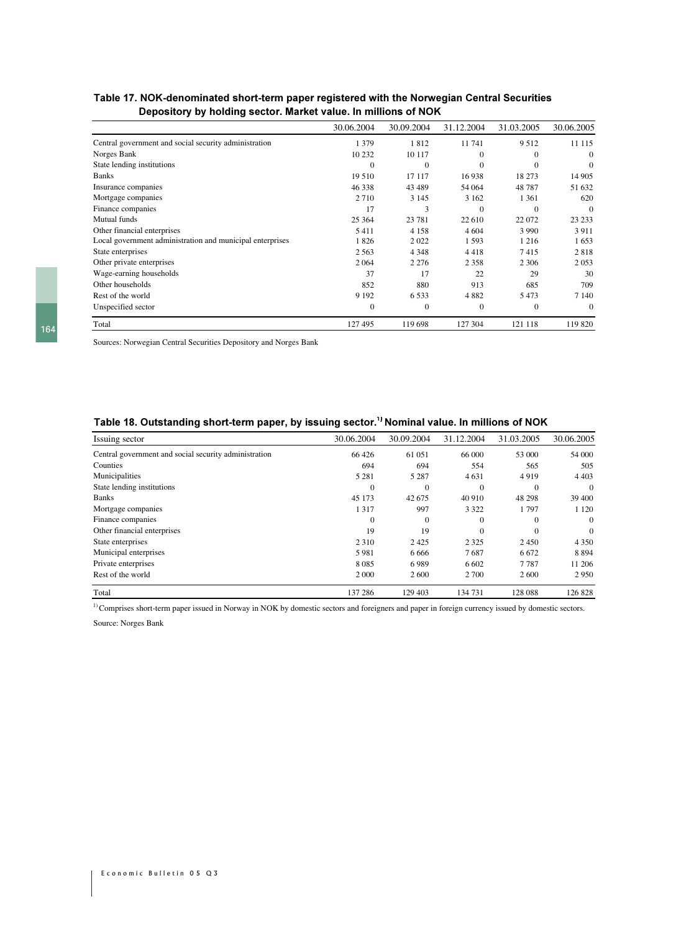### Table 17. NOK-denominated short-term paper registered with the Norwegian Central Securities Depository by holding sector. Market value. In millions of NOK

|                                                           | 30.06.2004   | 30.09.2004 | 31.12.2004 | 31.03.2005     | 30.06.2005 |
|-----------------------------------------------------------|--------------|------------|------------|----------------|------------|
| Central government and social security administration     | 1 3 7 9      | 1812       | 11 741     | 9512           | 11 115     |
| Norges Bank                                               | 10 232       | 10 117     | 0          | $\Omega$       | 0          |
| State lending institutions                                | $\Omega$     | $\Omega$   | 0          |                | $\Omega$   |
| <b>Banks</b>                                              | 19 510       | 17 117     | 16938      | 18 273         | 14 905     |
| Insurance companies                                       | 46 338       | 43 4 89    | 54 064     | 48787          | 51 632     |
| Mortgage companies                                        | 2710         | 3 1 4 5    | 3 1 6 2    | 1 3 6 1        | 620        |
| Finance companies                                         | 17           | 3          | $\theta$   | $\overline{0}$ | $\theta$   |
| Mutual funds                                              | 25 3 64      | 23 781     | 22 610     | 22 072         | 23 233     |
| Other financial enterprises                               | 5411         | 4 1 5 8    | 4 604      | 3 9 9 0        | 3911       |
| Local government administration and municipal enterprises | 1826         | 2022       | 1 5 9 3    | 1 2 1 6        | 1653       |
| State enterprises                                         | 2 5 6 3      | 4 3 4 8    | 4418       | 7415           | 2818       |
| Other private enterprises                                 | 2064         | 2 2 7 6    | 2 3 5 8    | 2 3 0 6        | 2053       |
| Wage-earning households                                   | 37           | 17         | 22         | 29             | 30         |
| Other households                                          | 852          | 880        | 913        | 685            | 709        |
| Rest of the world                                         | 9 1 9 2      | 6 5 3 3    | 4 8 8 2    | 5473           | 7 1 4 0    |
| Unspecified sector                                        | $\mathbf{0}$ | $\Omega$   | $\theta$   | $\overline{0}$ | $\Omega$   |
| Total                                                     | 127495       | 119 698    | 127 304    | 121 118        | 119 820    |

Sources: Norwegian Central Securities Depository and Norges Bank

## Table 18. Outstanding short-term paper, by issuing sector. $^{\textrm{\tiny{1}})}$ Nominal value. In millions of NOK

| Issuing sector                                        | 30.06.2004 | 30.09.2004 | 31.12.2004 | 31.03.2005     | 30.06.2005     |
|-------------------------------------------------------|------------|------------|------------|----------------|----------------|
| Central government and social security administration | 66 426     | 61 051     | 66 000     | 53 000         | 54 000         |
| Counties                                              | 694        | 694        | 554        | 565            | 505            |
| Municipalities                                        | 5 2 8 1    | 5 2 8 7    | 4 6 3 1    | 4919           | 4 4 0 3        |
| State lending institutions                            | 0          | $\Omega$   | 0          | $\overline{0}$ | $\mathbf{0}$   |
| <b>Banks</b>                                          | 45 173     | 42 675     | 40 910     | 48 298         | 39 400         |
| Mortgage companies                                    | 1 3 1 7    | 997        | 3 3 2 2    | 1797           | 1 1 2 0        |
| Finance companies                                     | $\Omega$   | $\Omega$   | $\Omega$   | $\Omega$       | $\overline{0}$ |
| Other financial enterprises                           | 19         | 19         | $\Omega$   | $\Omega$       | $\overline{0}$ |
| State enterprises                                     | 2 3 1 0    | 2425       | 2 3 2 5    | 2450           | 4 3 5 0        |
| Municipal enterprises                                 | 5981       | 6 6 6 6    | 7687       | 6 6 7 2        | 8894           |
| Private enterprises                                   | 8085       | 6989       | 6 6 0 2    | 7787           | 11 20 6        |
| Rest of the world                                     | 2 0 0 0    | 2 600      | 2 700      | 2600           | 2950           |
| Total                                                 | 137 286    | 129 403    | 134 731    | 128 088        | 126 828        |

<sup>1)</sup> Comprises short-term paper issued in Norway in NOK by domestic sectors and foreigners and paper in foreign currency issued by domestic sectors.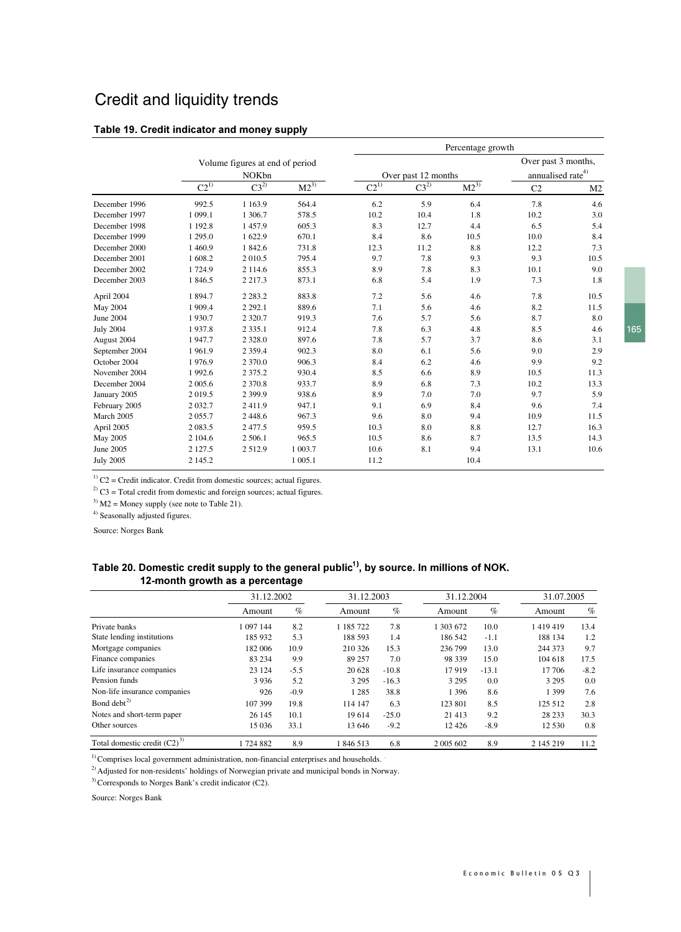# Credit and liquidity trends

#### Table 19. Credit indicator and money supply

|                  |            |                                                 |            |           |                     | Percentage growth |                                                      |                |
|------------------|------------|-------------------------------------------------|------------|-----------|---------------------|-------------------|------------------------------------------------------|----------------|
|                  |            | Volume figures at end of period<br><b>NOKbn</b> |            |           | Over past 12 months |                   | Over past 3 months,<br>annualised rate <sup>4)</sup> |                |
|                  | $C2^{1)}$  | $C3^{2}$                                        | $M2^{3)}$  | $C2^{1)}$ | $C3^{2)}$           | $M2^{3)}$         | C <sub>2</sub>                                       | M <sub>2</sub> |
| December 1996    | 992.5      | 1 1 6 3 . 9                                     | 564.4      | 6.2       | 5.9                 | 6.4               | 7.8                                                  | 4.6            |
| December 1997    | 1 0 9 9.1  | 1 306.7                                         | 578.5      | 10.2      | 10.4                | 1.8               | 10.2                                                 | 3.0            |
| December 1998    | 1 1 9 2.8  | 1457.9                                          | 605.3      | 8.3       | 12.7                | 4.4               | 6.5                                                  | 5.4            |
| December 1999    | 1 2 9 5 .0 | 1622.9                                          | 670.1      | 8.4       | 8.6                 | 10.5              | 10.0                                                 | 8.4            |
| December 2000    | 1460.9     | 1 842.6                                         | 731.8      | 12.3      | 11.2                | 8.8               | 12.2                                                 | 7.3            |
| December 2001    | 1 608.2    | 2 0 1 0.5                                       | 795.4      | 9.7       | 7.8                 | 9.3               | 9.3                                                  | 10.5           |
| December 2002    | 1724.9     | 2 1 1 4 .6                                      | 855.3      | 8.9       | 7.8                 | 8.3               | 10.1                                                 | 9.0            |
| December 2003    | 1846.5     | 2 2 1 7 . 3                                     | 873.1      | 6.8       | 5.4                 | 1.9               | 7.3                                                  | 1.8            |
| April 2004       | 1894.7     | 2 2 8 3 . 2                                     | 883.8      | 7.2       | 5.6                 | 4.6               | 7.8                                                  | 10.5           |
| May 2004         | 1 909.4    | 2 2 9 2 .1                                      | 889.6      | 7.1       | 5.6                 | 4.6               | 8.2                                                  | 11.5           |
| June 2004        | 1930.7     | 2 3 2 0.7                                       | 919.3      | 7.6       | 5.7                 | 5.6               | 8.7                                                  | 8.0            |
| <b>July 2004</b> | 1937.8     | 2 3 3 5 .1                                      | 912.4      | 7.8       | 6.3                 | 4.8               | 8.5                                                  | 4.6            |
| August 2004      | 1947.7     | 2 3 2 8 .0                                      | 897.6      | 7.8       | 5.7                 | 3.7               | 8.6                                                  | 3.1            |
| September 2004   | 1961.9     | 2 3 5 9 . 4                                     | 902.3      | 8.0       | 6.1                 | 5.6               | 9.0                                                  | 2.9            |
| October 2004     | 1976.9     | 2 370.0                                         | 906.3      | 8.4       | 6.2                 | 4.6               | 9.9                                                  | 9.2            |
| November 2004    | 1992.6     | 2 3 7 5 .2                                      | 930.4      | 8.5       | 6.6                 | 8.9               | 10.5                                                 | 11.3           |
| December 2004    | 2 005.6    | 2 3 7 0.8                                       | 933.7      | 8.9       | 6.8                 | 7.3               | 10.2                                                 | 13.3           |
| January 2005     | 2019.5     | 2 3 9 9.9                                       | 938.6      | 8.9       | 7.0                 | 7.0               | 9.7                                                  | 5.9            |
| February 2005    | 2 0 3 2.7  | 2411.9                                          | 947.1      | 9.1       | 6.9                 | 8.4               | 9.6                                                  | 7.4            |
| March 2005       | 2 0 5 5 .7 | 2448.6                                          | 967.3      | 9.6       | 8.0                 | 9.4               | 10.9                                                 | 11.5           |
| April 2005       | 2 0 8 3 .5 | 2 477.5                                         | 959.5      | 10.3      | 8.0                 | 8.8               | 12.7                                                 | 16.3           |
| May 2005         | 2 104.6    | 2 506.1                                         | 965.5      | 10.5      | 8.6                 | 8.7               | 13.5                                                 | 14.3           |
| June 2005        | 2 1 2 7 .5 | 2512.9                                          | 1 003.7    | 10.6      | 8.1                 | 9.4               | 13.1                                                 | 10.6           |
| <b>July 2005</b> | 2 145.2    |                                                 | 1 0 0 5 .1 | 11.2      |                     | 10.4              |                                                      |                |

 $1)$  C2 = Credit indicator. Credit from domestic sources; actual figures.

 $^{2)}$  C3 = Total credit from domestic and foreign sources; actual figures.

 $3)$  M2 = Money supply (see note to Table 21).

<sup>4)</sup> Seasonally adjusted figures.

Source: Norges Bank

## Table 20. Domestic credit supply to the general public $^{\text{1)}}$ , by source. In millions of NOK. 12-month growth as a percentage

|                                  | 31.12.2002 |        | 31.12.2003 |         | 31.12.2004 |         | 31.07.2005 |        |
|----------------------------------|------------|--------|------------|---------|------------|---------|------------|--------|
|                                  | Amount     | $\%$   | Amount     | $\%$    | Amount     | %       | Amount     | %      |
| Private banks                    | 1 097 144  | 8.2    | 185722     | 7.8     | 1 303 672  | 10.0    | 1419419    | 13.4   |
| State lending institutions       | 185 932    | 5.3    | 188 593    | 1.4     | 186 542    | $-1.1$  | 188 134    | 1.2    |
| Mortgage companies               | 182 006    | 10.9   | 210 326    | 15.3    | 236 799    | 13.0    | 244 373    | 9.7    |
| Finance companies                | 83 234     | 9.9    | 89 257     | 7.0     | 98 339     | 15.0    | 104 618    | 17.5   |
| Life insurance companies         | 23 124     | $-5.5$ | 20 628     | $-10.8$ | 17919      | $-13.1$ | 17 706     | $-8.2$ |
| Pension funds                    | 3936       | 5.2    | 3 2 9 5    | $-16.3$ | 3 2 9 5    | 0.0     | 3 2 9 5    | 0.0    |
| Non-life insurance companies     | 926        | $-0.9$ | 1 2 8 5    | 38.8    | 1 3 9 6    | 8.6     | 1 3 9 9    | 7.6    |
| Bond debt <sup>2)</sup>          | 107 399    | 19.8   | 114 147    | 6.3     | 123 801    | 8.5     | 125 512    | 2.8    |
| Notes and short-term paper       | 26 145     | 10.1   | 19614      | $-25.0$ | 21 4 13    | 9.2     | 28 233     | 30.3   |
| Other sources                    | 15 0 36    | 33.1   | 13 646     | $-9.2$  | 12 4 26    | $-8.9$  | 12 530     | 0.8    |
| Total domestic credit $(C2)^{3}$ | 1724882    | 8.9    | 846 513    | 6.8     | 2 005 602  | 8.9     | 2 145 219  | 11.2   |

<sup>1)</sup> Comprises local government administration, non-financial enterprises and households.

<sup>2)</sup> Adjusted for non-residents' holdings of Norwegian private and municipal bonds in Norway.

3) Corresponds to Norges Bank's credit indicator (C2).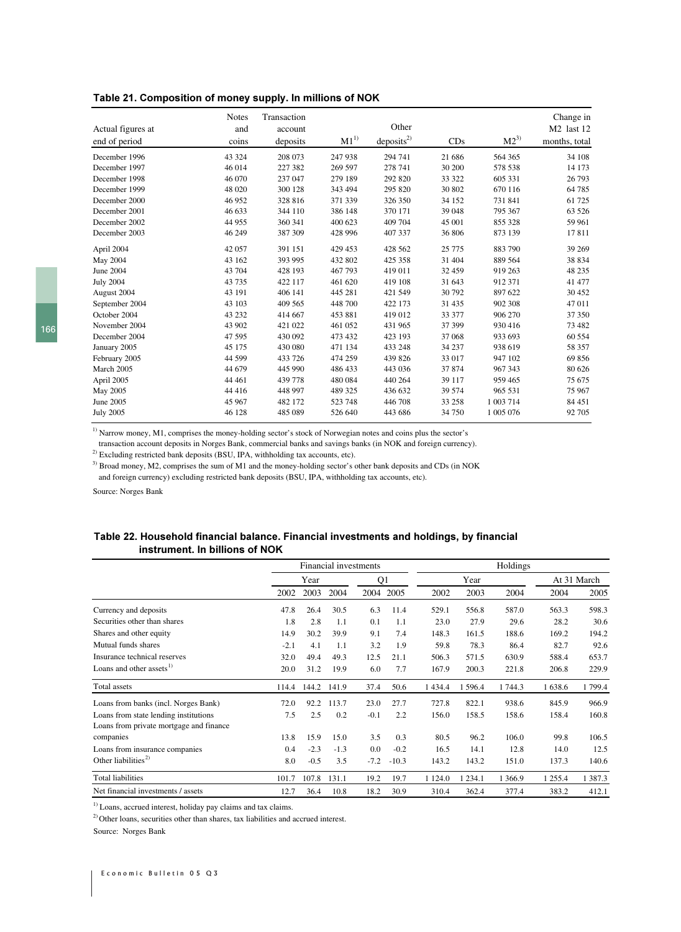#### Table 21. Composition of money supply. In millions of NOK

|                   | <b>Notes</b> | Transaction |          |                       |          |           | Change in              |
|-------------------|--------------|-------------|----------|-----------------------|----------|-----------|------------------------|
| Actual figures at | and          | account     |          | Other                 |          |           | M <sub>2</sub> last 12 |
| end of period     | coins        | deposits    | $M1^{1}$ | deposits <sup>2</sup> | CDs      | $M2^{3)}$ | months, total          |
| December 1996     | 43 324       | 208 073     | 247 938  | 294 741               | 21 68 6  | 564 365   | 34 108                 |
| December 1997     | 46 014       | 227 382     | 269 597  | 278 741               | 30 200   | 578 538   | 14 173                 |
| December 1998     | 46 070       | 237 047     | 279 189  | 292 820               | 33 322   | 605 331   | 26 793                 |
| December 1999     | 48 020       | 300 128     | 343 494  | 295 820               | 30 802   | 670 116   | 64 785                 |
| December 2000     | 46 952       | 328 816     | 371 339  | 326 350               | 34 152   | 731 841   | 61 725                 |
| December 2001     | 46 633       | 344 110     | 386 148  | 370 171               | 39 048   | 795 367   | 63 5 26                |
| December 2002     | 44 955       | 360 341     | 400 623  | 409 704               | 45 001   | 855 328   | 59 961                 |
| December 2003     | 46 249       | 387 309     | 428 996  | 407 337               | 36 806   | 873 139   | 17811                  |
| April 2004        | 42 057       | 391 151     | 429 453  | 428 562               | 25 7 7 5 | 883 790   | 39 269                 |
| May 2004          | 43 162       | 393 995     | 432 802  | 425 358               | 31 404   | 889 564   | 38 834                 |
| <b>June 2004</b>  | 43 704       | 428 193     | 467 793  | 419 011               | 32 459   | 919 263   | 48 235                 |
| <b>July 2004</b>  | 43 7 35      | 422 117     | 461 620  | 419 108               | 31 643   | 912 371   | 41 477                 |
| August 2004       | 43 191       | 406 141     | 445 281  | 421 549               | 30792    | 897 622   | 30 452                 |
| September 2004    | 43 103       | 409 565     | 448 700  | 422 173               | 31 4 35  | 902 308   | 47 011                 |
| October 2004      | 43 232       | 414 667     | 453 881  | 419 012               | 33 377   | 906 270   | 37 350                 |
| November 2004     | 43 902       | 421 022     | 461 052  | 431 965               | 37 399   | 930 416   | 73 482                 |
| December 2004     | 47 595       | 430 092     | 473 432  | 423 193               | 37 068   | 933 693   | 60 554                 |
| January 2005      | 45 175       | 430 080     | 471 134  | 433 248               | 34 237   | 938 619   | 58 357                 |
| February 2005     | 44 599       | 433 726     | 474 259  | 439 826               | 33 017   | 947 102   | 69 856                 |
| March 2005        | 44 679       | 445 990     | 486 433  | 443 036               | 37 874   | 967 343   | 80 626                 |
| April 2005        | 44 4 61      | 439 778     | 480 084  | 440 264               | 39 117   | 959 465   | 75 675                 |
| May 2005          | 44 4 16      | 448 997     | 489 325  | 436 632               | 39 574   | 965 531   | 75 967                 |
| June 2005         | 45 967       | 482 172     | 523 748  | 446 708               | 33 258   | 1 003 714 | 84 451                 |
| <b>July 2005</b>  | 46 128       | 485 089     | 526 640  | 443 686               | 34 750   | 1 005 076 | 92 705                 |

<sup>1)</sup> Narrow money, M1, comprises the money-holding sector's stock of Norwegian notes and coins plus the sector's

transaction account deposits in Norges Bank, commercial banks and savings banks (in NOK and foreign currency).

<sup>2)</sup> Excluding restricted bank deposits (BSU, IPA, withholding tax accounts, etc).

<sup>3)</sup> Broad money, M2, comprises the sum of M1 and the money-holding sector's other bank deposits and CDs (in NOK and foreign currency) excluding restricted bank deposits (BSU, IPA, withholding tax accounts, etc).

Source: Norges Bank

#### Table 22. Household financial balance. Financial investments and holdings, by financial instrument. In billions of NOK

|                                         |        | Financial investments |        |                |         |            | Holdings   |         |         |             |
|-----------------------------------------|--------|-----------------------|--------|----------------|---------|------------|------------|---------|---------|-------------|
|                                         |        | Year                  |        | Q <sub>1</sub> |         |            | Year       |         |         | At 31 March |
|                                         | 2002   | 2003                  | 2004   | 2004           | 2005    | 2002       | 2003       | 2004    | 2004    | 2005        |
| Currency and deposits                   | 47.8   | 26.4                  | 30.5   | 6.3            | 11.4    | 529.1      | 556.8      | 587.0   | 563.3   | 598.3       |
| Securities other than shares            | 1.8    | 2.8                   | 1.1    | 0.1            | 1.1     | 23.0       | 27.9       | 29.6    | 28.2    | 30.6        |
| Shares and other equity                 | 14.9   | 30.2                  | 39.9   | 9.1            | 7.4     | 148.3      | 161.5      | 188.6   | 169.2   | 194.2       |
| Mutual funds shares                     | $-2.1$ | 4.1                   | 1.1    | 3.2            | 1.9     | 59.8       | 78.3       | 86.4    | 82.7    | 92.6        |
| Insurance technical reserves            | 32.0   | 49.4                  | 49.3   | 12.5           | 21.1    | 506.3      | 571.5      | 630.9   | 588.4   | 653.7       |
| Loans and other assets <sup>1)</sup>    | 20.0   | 31.2                  | 19.9   | 6.0            | 7.7     | 167.9      | 200.3      | 221.8   | 206.8   | 229.9       |
| Total assets                            | 114.4  | 144.2                 | 141.9  | 37.4           | 50.6    | 1 4 3 4 .4 | 596.4      | 1744.3  | 1 638.6 | 1799.4      |
| Loans from banks (incl. Norges Bank)    | 72.0   | 92.2                  | 113.7  | 23.0           | 27.7    | 727.8      | 822.1      | 938.6   | 845.9   | 966.9       |
| Loans from state lending institutions   | 7.5    | 2.5                   | 0.2    | $-0.1$         | 2.2     | 156.0      | 158.5      | 158.6   | 158.4   | 160.8       |
| Loans from private mortgage and finance |        |                       |        |                |         |            |            |         |         |             |
| companies                               | 13.8   | 15.9                  | 15.0   | 3.5            | 0.3     | 80.5       | 96.2       | 106.0   | 99.8    | 106.5       |
| Loans from insurance companies          | 0.4    | $-2.3$                | $-1.3$ | 0.0            | $-0.2$  | 16.5       | 14.1       | 12.8    | 14.0    | 12.5        |
| Other liabilities <sup>2)</sup>         | 8.0    | $-0.5$                | 3.5    | $-7.2$         | $-10.3$ | 143.2      | 143.2      | 151.0   | 137.3   | 140.6       |
| Total liabilities                       | 101.7  | 107.8                 | 131.1  | 19.2           | 19.7    | 1 1 2 4 .0 | 1 2 3 4 .1 | 1 366.9 | 1 255.4 | 1 3 8 7 . 3 |
| Net financial investments / assets      | 12.7   | 36.4                  | 10.8   | 18.2           | 30.9    | 310.4      | 362.4      | 377.4   | 383.2   | 412.1       |

 $1)$  Loans, accrued interest, holiday pay claims and tax claims.

<sup>2)</sup> Other loans, securities other than shares, tax liabilities and accrued interest.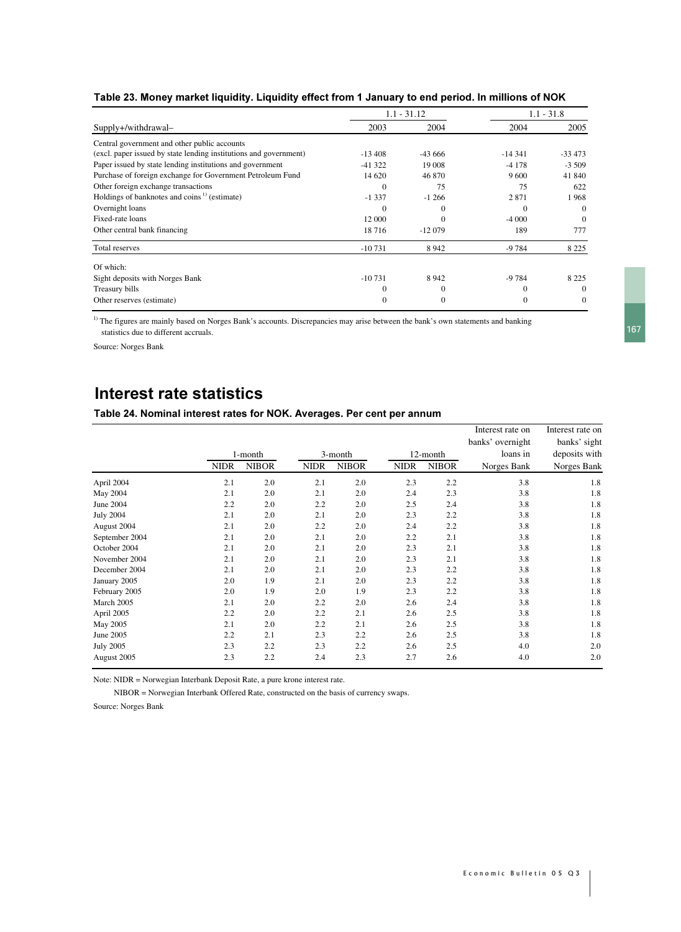|                                                                   |              | $1.1 - 31.12$ |          | $1.1 - 31.8$ |
|-------------------------------------------------------------------|--------------|---------------|----------|--------------|
| Supply+/withdrawal-                                               | 2003         | 2004          | 2004     | 2005         |
| Central government and other public accounts                      |              |               |          |              |
| (excl. paper issued by state lending institutions and government) | $-13,408$    | $-43666$      | $-14341$ | $-33473$     |
| Paper issued by state lending institutions and government         | $-41322$     | 19 008        | $-4178$  | $-3,509$     |
| Purchase of foreign exchange for Government Petroleum Fund        | 14 620       | 46 870        | 9600     | 41 840       |
| Other foreign exchange transactions                               | $\theta$     | 75            | 75       | 622          |
| Holdings of banknotes and coins <sup>1)</sup> (estimate)          | $-1337$      | $-1266$       | 2871     | 1968         |
| Overnight loans                                                   | $\theta$     |               | $\Omega$ | $\mathbf{0}$ |
| Fixed-rate loans                                                  | 12 000       |               | $-4000$  | $\mathbf{0}$ |
| Other central bank financing                                      | 18716        | $-12079$      | 189      | 777          |
| Total reserves                                                    | $-10731$     | 8942          | $-9784$  | 8 2 2 5      |
| Of which:                                                         |              |               |          |              |
| Sight deposits with Norges Bank                                   | $-10731$     | 8942          | -9 784   | 8 2 2 5      |
| Treasury bills                                                    | 0            | $\Omega$      | $\Omega$ | $\mathbf{0}$ |
| Other reserves (estimate)                                         | $\mathbf{0}$ | $\Omega$      | $\theta$ | $\mathbf{0}$ |

<sup>1)</sup> The figures are mainly based on Norges Bank's accounts. Discrepancies may arise between the bank's own statements and banking statistics due to different accruals.

Source: Norges Bank

# **Interest rate statistics**

#### Table 24. Nominal interest rates for NOK. Averages. Per cent per annum

|                  |             |              |             |              |             |              | Interest rate on | Interest rate on |
|------------------|-------------|--------------|-------------|--------------|-------------|--------------|------------------|------------------|
|                  |             |              |             |              |             |              | banks' overnight | banks' sight     |
|                  |             | 1-month      |             | 3-month      |             | 12-month     | loans in         | deposits with    |
|                  | <b>NIDR</b> | <b>NIBOR</b> | <b>NIDR</b> | <b>NIBOR</b> | <b>NIDR</b> | <b>NIBOR</b> | Norges Bank      | Norges Bank      |
| April 2004       | 2.1         | 2.0          | 2.1         | 2.0          | 2.3         | 2.2          | 3.8              | 1.8              |
| May 2004         | 2.1         | 2.0          | 2.1         | 2.0          | 2.4         | 2.3          | 3.8              | 1.8              |
| June 2004        | 2.2         | 2.0          | 2.2         | 2.0          | 2.5         | 2.4          | 3.8              | 1.8              |
| <b>July 2004</b> | 2.1         | 2.0          | 2.1         | 2.0          | 2.3         | 2.2          | 3.8              | 1.8              |
| August 2004      | 2.1         | 2.0          | 2.2         | 2.0          | 2.4         | 2.2          | 3.8              | 1.8              |
| September 2004   | 2.1         | 2.0          | 2.1         | 2.0          | 2.2         | 2.1          | 3.8              | 1.8              |
| October 2004     | 2.1         | 2.0          | 2.1         | 2.0          | 2.3         | 2.1          | 3.8              | 1.8              |
| November 2004    | 2.1         | 2.0          | 2.1         | 2.0          | 2.3         | 2.1          | 3.8              | 1.8              |
| December 2004    | 2.1         | 2.0          | 2.1         | 2.0          | 2.3         | 2.2          | 3.8              | 1.8              |
| January 2005     | 2.0         | 1.9          | 2.1         | 2.0          | 2.3         | 2.2          | 3.8              | 1.8              |
| February 2005    | 2.0         | 1.9          | 2.0         | 1.9          | 2.3         | 2.2          | 3.8              | 1.8              |
| March 2005       | 2.1         | 2.0          | 2.2         | 2.0          | 2.6         | 2.4          | 3.8              | 1.8              |
| April 2005       | 2.2         | 2.0          | 2.2         | 2.1          | 2.6         | 2.5          | 3.8              | 1.8              |
| May 2005         | 2.1         | 2.0          | 2.2         | 2.1          | 2.6         | 2.5          | 3.8              | 1.8              |
| June 2005        | 2.2         | 2.1          | 2.3         | 2.2          | 2.6         | 2.5          | 3.8              | 1.8              |
| <b>July 2005</b> | 2.3         | 2.2          | 2.3         | 2.2          | 2.6         | 2.5          | 4.0              | 2.0              |
| August 2005      | 2.3         | 2.2          | 2.4         | 2.3          | 2.7         | 2.6          | 4.0              | 2.0              |

Note: NIDR = Norwegian Interbank Deposit Rate, a pure krone interest rate.

NIBOR = Norwegian Interbank Offered Rate, constructed on the basis of currency swaps.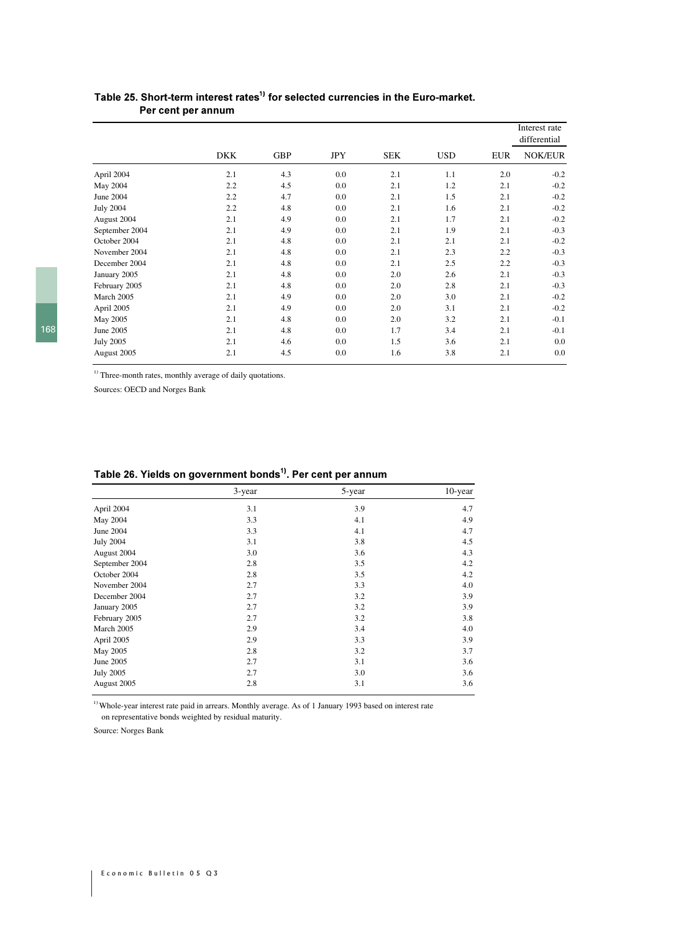|                  |            |            |            |            |            |            | Interest rate<br>differential |
|------------------|------------|------------|------------|------------|------------|------------|-------------------------------|
|                  | <b>DKK</b> | <b>GBP</b> | <b>JPY</b> | <b>SEK</b> | <b>USD</b> | <b>EUR</b> | <b>NOK/EUR</b>                |
| April 2004       | 2.1        | 4.3        | $0.0\,$    | 2.1        | 1.1        | 2.0        | $-0.2$                        |
| May 2004         | 2.2        | 4.5        | 0.0        | 2.1        | 1.2        | 2.1        | $-0.2$                        |
| June 2004        | 2.2        | 4.7        | $0.0\,$    | 2.1        | 1.5        | 2.1        | $-0.2$                        |
| <b>July 2004</b> | 2.2        | 4.8        | 0.0        | 2.1        | 1.6        | 2.1        | $-0.2$                        |
| August 2004      | 2.1        | 4.9        | 0.0        | 2.1        | 1.7        | 2.1        | $-0.2$                        |
| September 2004   | 2.1        | 4.9        | 0.0        | 2.1        | 1.9        | 2.1        | $-0.3$                        |
| October 2004     | 2.1        | 4.8        | $0.0\,$    | 2.1        | 2.1        | 2.1        | $-0.2$                        |
| November 2004    | 2.1        | 4.8        | 0.0        | 2.1        | 2.3        | 2.2        | $-0.3$                        |
| December 2004    | 2.1        | 4.8        | 0.0        | 2.1        | 2.5        | 2.2        | $-0.3$                        |
| January 2005     | 2.1        | 4.8        | $0.0\,$    | 2.0        | 2.6        | 2.1        | $-0.3$                        |
| February 2005    | 2.1        | 4.8        | $0.0\,$    | 2.0        | 2.8        | 2.1        | $-0.3$                        |
| March 2005       | 2.1        | 4.9        | 0.0        | 2.0        | 3.0        | 2.1        | $-0.2$                        |
| April 2005       | 2.1        | 4.9        | $0.0\,$    | 2.0        | 3.1        | 2.1        | $-0.2$                        |
| May 2005         | 2.1        | 4.8        | $0.0\,$    | 2.0        | 3.2        | 2.1        | $-0.1$                        |
| June 2005        | 2.1        | 4.8        | 0.0        | 1.7        | 3.4        | 2.1        | $-0.1$                        |
| <b>July 2005</b> | 2.1        | 4.6        | $0.0\,$    | 1.5        | 3.6        | 2.1        | 0.0                           |
| August 2005      | 2.1        | 4.5        | 0.0        | 1.6        | 3.8        | 2.1        | 0.0                           |

## Table 25. Short-term interest rates<sup>1)</sup> for selected currencies in the Euro-market. Per cent per annum

 $1)$  Three-month rates, monthly average of daily quotations.

Sources: OECD and Norges Bank

|                  | 3-year | 5-year | 10-year |
|------------------|--------|--------|---------|
| April 2004       | 3.1    | 3.9    | 4.7     |
| May 2004         | 3.3    | 4.1    | 4.9     |
| June 2004        | 3.3    | 4.1    | 4.7     |
| <b>July 2004</b> | 3.1    | 3.8    | 4.5     |
| August 2004      | 3.0    | 3.6    | 4.3     |
| September 2004   | 2.8    | 3.5    | 4.2     |
| October 2004     | 2.8    | 3.5    | 4.2     |
| November 2004    | 2.7    | 3.3    | 4.0     |
| December 2004    | 2.7    | 3.2    | 3.9     |
| January 2005     | 2.7    | 3.2    | 3.9     |
| February 2005    | 2.7    | 3.2    | 3.8     |
| March 2005       | 2.9    | 3.4    | 4.0     |
| April 2005       | 2.9    | 3.3    | 3.9     |
| May 2005         | 2.8    | 3.2    | 3.7     |
| June 2005        | 2.7    | 3.1    | 3.6     |
| <b>July 2005</b> | 2.7    | 3.0    | 3.6     |
| August 2005      | 2.8    | 3.1    | 3.6     |

### Table 26. Yields on government bonds<sup>1)</sup>. Per cent per annum

<sup>1)</sup> Whole-year interest rate paid in arrears. Monthly average. As of 1 January 1993 based on interest rate on representative bonds weighted by residual maturity.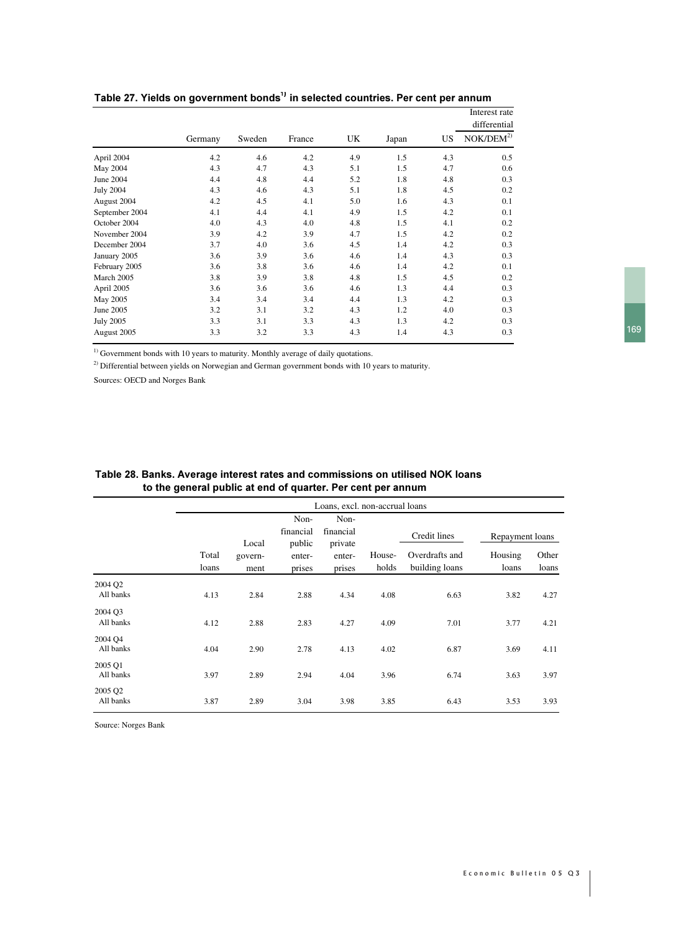|                  |         |        |        |     |       |     | Interest rate<br>differential |
|------------------|---------|--------|--------|-----|-------|-----|-------------------------------|
|                  | Germany | Sweden | France | UK  | Japan | US  | NOK/DEM <sup>2</sup> )        |
| April 2004       | 4.2     | 4.6    | 4.2    | 4.9 | 1.5   | 4.3 | 0.5                           |
| May 2004         | 4.3     | 4.7    | 4.3    | 5.1 | 1.5   | 4.7 | 0.6                           |
| June 2004        | 4.4     | 4.8    | 4.4    | 5.2 | 1.8   | 4.8 | 0.3                           |
| <b>July 2004</b> | 4.3     | 4.6    | 4.3    | 5.1 | 1.8   | 4.5 | 0.2                           |
| August 2004      | 4.2     | 4.5    | 4.1    | 5.0 | 1.6   | 4.3 | 0.1                           |
| September 2004   | 4.1     | 4.4    | 4.1    | 4.9 | 1.5   | 4.2 | 0.1                           |
| October 2004     | 4.0     | 4.3    | 4.0    | 4.8 | 1.5   | 4.1 | 0.2                           |
| November 2004    | 3.9     | 4.2    | 3.9    | 4.7 | 1.5   | 4.2 | 0.2                           |
| December 2004    | 3.7     | 4.0    | 3.6    | 4.5 | 1.4   | 4.2 | 0.3                           |
| January 2005     | 3.6     | 3.9    | 3.6    | 4.6 | 1.4   | 4.3 | 0.3                           |
| February 2005    | 3.6     | 3.8    | 3.6    | 4.6 | 1.4   | 4.2 | 0.1                           |
| March 2005       | 3.8     | 3.9    | 3.8    | 4.8 | 1.5   | 4.5 | 0.2                           |
| April 2005       | 3.6     | 3.6    | 3.6    | 4.6 | 1.3   | 4.4 | 0.3                           |
| May 2005         | 3.4     | 3.4    | 3.4    | 4.4 | 1.3   | 4.2 | 0.3                           |
| June 2005        | 3.2     | 3.1    | 3.2    | 4.3 | 1.2   | 4.0 | 0.3                           |
| <b>July 2005</b> | 3.3     | 3.1    | 3.3    | 4.3 | 1.3   | 4.2 | 0.3                           |
| August 2005      | 3.3     | 3.2    | 3.3    | 4.3 | 1.4   | 4.3 | 0.3                           |

### Table 27. Yields on government bonds $^{\text{\tiny 1)}}$  in selected countries. Per cent per annum

<sup>1)</sup> Government bonds with 10 years to maturity. Monthly average of daily quotations.

<sup>2)</sup> Differential between yields on Norwegian and German government bonds with 10 years to maturity.

Sources: OECD and Norges Bank

|                                  |                | Loans, excl. non-accrual loans |                             |                              |                 |                                  |                  |                |  |
|----------------------------------|----------------|--------------------------------|-----------------------------|------------------------------|-----------------|----------------------------------|------------------|----------------|--|
|                                  |                | Local                          | Non-<br>financial<br>public | Non-<br>financial<br>private |                 | Credit lines                     | Repayment loans  |                |  |
|                                  | Total<br>loans | govern-<br>ment                | enter-<br>prises            | enter-<br>prises             | House-<br>holds | Overdrafts and<br>building loans | Housing<br>loans | Other<br>loans |  |
| 2004 Q2<br>All banks             | 4.13           | 2.84                           | 2.88                        | 4.34                         | 4.08            | 6.63                             | 3.82             | 4.27           |  |
| 2004 O <sub>3</sub><br>All banks | 4.12           | 2.88                           | 2.83                        | 4.27                         | 4.09            | 7.01                             | 3.77             | 4.21           |  |
| 2004 O <sub>4</sub><br>All banks | 4.04           | 2.90                           | 2.78                        | 4.13                         | 4.02            | 6.87                             | 3.69             | 4.11           |  |
| 2005 Q1<br>All banks             | 3.97           | 2.89                           | 2.94                        | 4.04                         | 3.96            | 6.74                             | 3.63             | 3.97           |  |
| 2005 Q2<br>All banks             | 3.87           | 2.89                           | 3.04                        | 3.98                         | 3.85            | 6.43                             | 3.53             | 3.93           |  |

## Table 28. Banks. Average interest rates and commissions on utilised NOK loans to the general public at end of quarter. Per cent per annum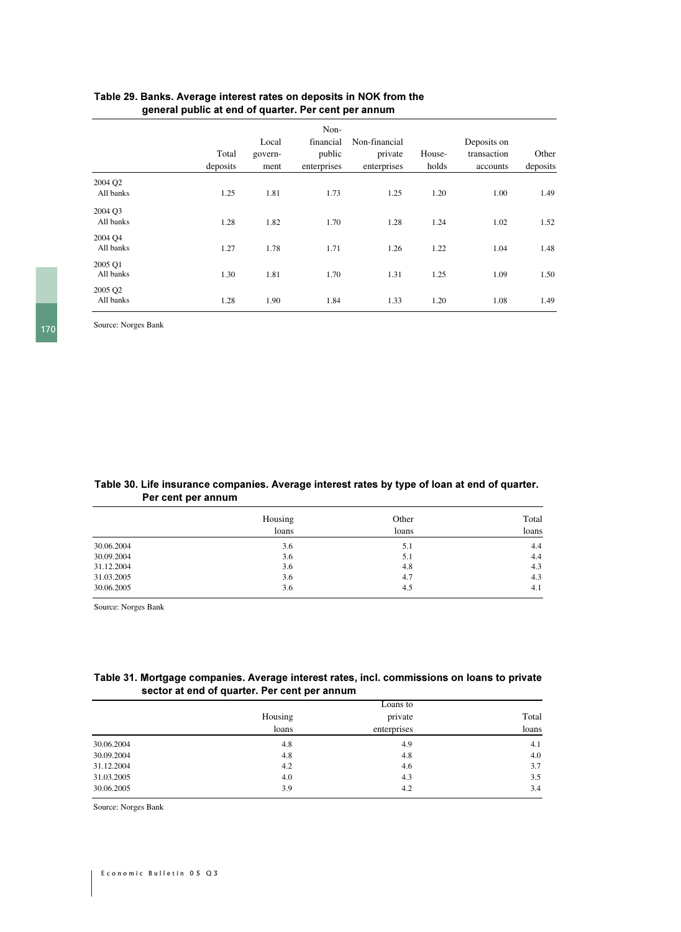|                      | Total<br>deposits | Local<br>govern-<br>ment | Non-<br>financial<br>public<br>enterprises | Non-financial<br>private<br>enterprises | House-<br>holds | Deposits on<br>transaction<br>accounts | Other<br>deposits |
|----------------------|-------------------|--------------------------|--------------------------------------------|-----------------------------------------|-----------------|----------------------------------------|-------------------|
| 2004 Q2              |                   |                          |                                            |                                         |                 |                                        |                   |
| All banks            | 1.25              | 1.81                     | 1.73                                       | 1.25                                    | 1.20            | 1.00                                   | 1.49              |
| 2004 Q3<br>All banks | 1.28              | 1.82                     | 1.70                                       | 1.28                                    | 1.24            | 1.02                                   | 1.52              |
| 2004 O <sub>4</sub>  |                   |                          |                                            |                                         |                 |                                        |                   |
| All banks            | 1.27              | 1.78                     | 1.71                                       | 1.26                                    | 1.22            | 1.04                                   | 1.48              |
| 2005 O1<br>All banks | 1.30              | 1.81                     | 1.70                                       | 1.31                                    | 1.25            | 1.09                                   | 1.50              |
| 2005 Q2<br>All banks | 1.28              | 1.90                     | 1.84                                       | 1.33                                    | 1.20            | 1.08                                   | 1.49              |

## Table 29. Banks. Average interest rates on deposits in NOK from the general public at end of quarter. Per cent per annum

Source: Norges Bank

#### Table 30. Life insurance companies. Average interest rates by type of loan at end of quarter. **Per cent per annum**

|            | Housing | Other | Total |
|------------|---------|-------|-------|
|            | loans   | loans | loans |
| 30.06.2004 | 3.6     | 5.1   | 4.4   |
| 30.09.2004 | 3.6     | 5.1   | 4.4   |
| 31.12.2004 | 3.6     | 4.8   | 4.3   |
| 31.03.2005 | 3.6     | 4.7   | 4.3   |
| 30.06.2005 | 3.6     | 4.5   | 4.1   |

Source: Norges Bank

### Table 31. Mortgage companies. Average interest rates, incl. commissions on loans to private sector at end of quarter. Per cent per annum

|            | Loans to |             |       |  |  |  |
|------------|----------|-------------|-------|--|--|--|
|            | Housing  | private     | Total |  |  |  |
|            | loans    | enterprises | loans |  |  |  |
| 30.06.2004 | 4.8      | 4.9         | 4.1   |  |  |  |
| 30.09.2004 | 4.8      | 4.8         | 4.0   |  |  |  |
| 31.12.2004 | 4.2      | 4.6         | 3.7   |  |  |  |
| 31.03.2005 | 4.0      | 4.3         | 3.5   |  |  |  |
| 30.06.2005 | 3.9      | 4.2         | 3.4   |  |  |  |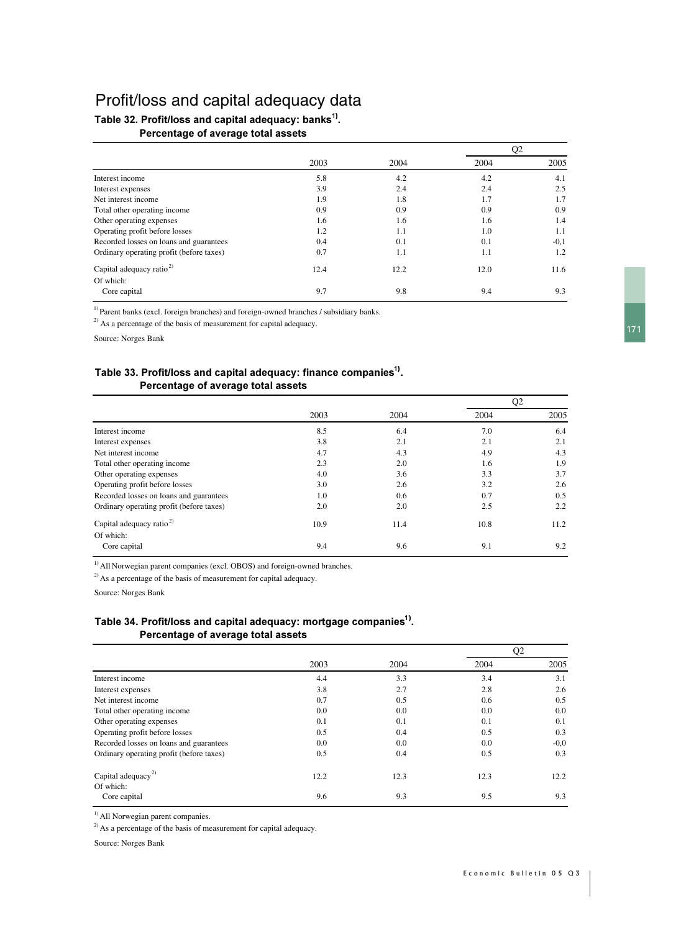# Profit/loss and capital adequacy data

## Table 32. Profit/loss and capital adequacy: banks $^{\rm 1)}$ . Percentage of average total assets

|                                          |      |      | Q <sub>2</sub> |        |
|------------------------------------------|------|------|----------------|--------|
|                                          | 2003 | 2004 | 2004           | 2005   |
| Interest income                          | 5.8  | 4.2  | 4.2            | 4.1    |
| Interest expenses                        | 3.9  | 2.4  | 2.4            | 2.5    |
| Net interest income                      | 1.9  | 1.8  | 1.7            | 1.7    |
| Total other operating income             | 0.9  | 0.9  | 0.9            | 0.9    |
| Other operating expenses                 | 1.6  | 1.6  | 1.6            | 1.4    |
| Operating profit before losses           | 1.2  | 1.1  | 1.0            | 1.1    |
| Recorded losses on loans and guarantees  | 0.4  | 0.1  | 0.1            | $-0,1$ |
| Ordinary operating profit (before taxes) | 0.7  | 1.1  | 1.1            | 1.2    |
| Capital adequacy ratio <sup>2)</sup>     | 12.4 | 12.2 | 12.0           | 11.6   |
| Of which:                                |      |      |                |        |
| Core capital                             | 9.7  | 9.8  | 9.4            | 9.3    |

<sup>1)</sup> Parent banks (excl. foreign branches) and foreign-owned branches / subsidiary banks.

<sup>2)</sup> As a percentage of the basis of measurement for capital adequacy.

Source: Norges Bank

## Table 33. Profit/loss and capital adequacy: finance companies $^{\rm 1)}$ . Percentage of average total assets

|                                          |      |      |      | Q <sub>2</sub> |
|------------------------------------------|------|------|------|----------------|
|                                          | 2003 | 2004 | 2004 | 2005           |
| Interest income                          | 8.5  | 6.4  | 7.0  | 6.4            |
| Interest expenses                        | 3.8  | 2.1  | 2.1  | 2.1            |
| Net interest income                      | 4.7  | 4.3  | 4.9  | 4.3            |
| Total other operating income             | 2.3  | 2.0  | 1.6  | 1.9            |
| Other operating expenses                 | 4.0  | 3.6  | 3.3  | 3.7            |
| Operating profit before losses           | 3.0  | 2.6  | 3.2  | 2.6            |
| Recorded losses on loans and guarantees  | 1.0  | 0.6  | 0.7  | 0.5            |
| Ordinary operating profit (before taxes) | 2.0  | 2.0  | 2.5  | 2.2            |
| Capital adequacy ratio <sup>2)</sup>     | 10.9 | 11.4 | 10.8 | 11.2           |
| Of which:                                |      |      |      |                |
| Core capital                             | 9.4  | 9.6  | 9.1  | 9.2            |

<sup>1)</sup> All Norwegian parent companies (excl. OBOS) and foreign-owned branches.

 $^{2)}$  As a percentage of the basis of measurement for capital adequacy.

Source: Norges Bank

## Table 34. Profit/loss and capital adequacy: mortgage companies $^{\rm 1)}$ . Percentage of average total assets

|                                             |      |      | Q2   |        |
|---------------------------------------------|------|------|------|--------|
|                                             | 2003 | 2004 | 2004 | 2005   |
| Interest income                             | 4.4  | 3.3  | 3.4  | 3.1    |
| Interest expenses                           | 3.8  | 2.7  | 2.8  | 2.6    |
| Net interest income                         | 0.7  | 0.5  | 0.6  | 0.5    |
| Total other operating income                | 0.0  | 0.0  | 0.0  | 0.0    |
| Other operating expenses                    | 0.1  | 0.1  | 0.1  | 0.1    |
| Operating profit before losses              | 0.5  | 0.4  | 0.5  | 0.3    |
| Recorded losses on loans and guarantees     | 0.0  | 0.0  | 0.0  | $-0.0$ |
| Ordinary operating profit (before taxes)    | 0.5  | 0.4  | 0.5  | 0.3    |
| Capital adequacy <sup>2)</sup><br>Of which: | 12.2 | 12.3 | 12.3 | 12.2   |
| Core capital                                | 9.6  | 9.3  | 9.5  | 9.3    |

<sup>1)</sup> All Norwegian parent companies.

 $^{2)}$  As a percentage of the basis of measurement for capital adequacy.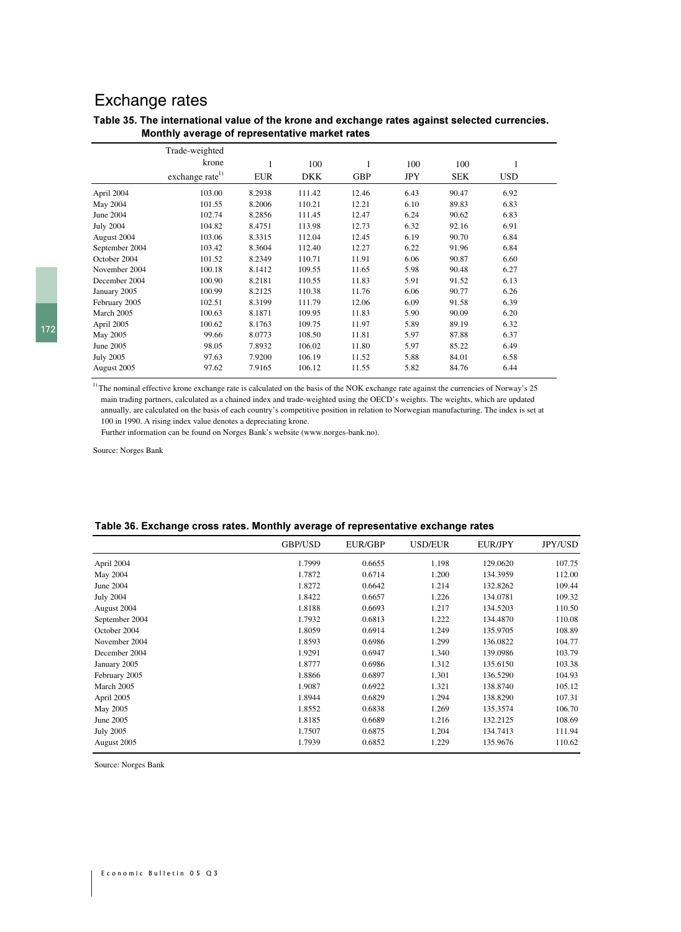# Exchange rates

#### Table 35. The international value of the krone and exchange rates against selected currencies. Monthly average of representative market rates

|                  | Trade-weighted              |            |            |            |            |            |            |  |
|------------------|-----------------------------|------------|------------|------------|------------|------------|------------|--|
|                  | krone                       | 1          | 100        | 1          | 100        | 100        | 1          |  |
|                  | exchange rate <sup>1)</sup> | <b>EUR</b> | <b>DKK</b> | <b>GBP</b> | <b>JPY</b> | <b>SEK</b> | <b>USD</b> |  |
| April 2004       | 103.00                      | 8.2938     | 111.42     | 12.46      | 6.43       | 90.47      | 6.92       |  |
| May 2004         | 101.55                      | 8.2006     | 110.21     | 12.21      | 6.10       | 89.83      | 6.83       |  |
| June 2004        | 102.74                      | 8.2856     | 111.45     | 12.47      | 6.24       | 90.62      | 6.83       |  |
| <b>July 2004</b> | 104.82                      | 8.4751     | 113.98     | 12.73      | 6.32       | 92.16      | 6.91       |  |
| August 2004      | 103.06                      | 8.3315     | 112.04     | 12.45      | 6.19       | 90.70      | 6.84       |  |
| September 2004   | 103.42                      | 8.3604     | 112.40     | 12.27      | 6.22       | 91.96      | 6.84       |  |
| October 2004     | 101.52                      | 8.2349     | 110.71     | 11.91      | 6.06       | 90.87      | 6.60       |  |
| November 2004    | 100.18                      | 8.1412     | 109.55     | 11.65      | 5.98       | 90.48      | 6.27       |  |
| December 2004    | 100.90                      | 8.2181     | 110.55     | 11.83      | 5.91       | 91.52      | 6.13       |  |
| January 2005     | 100.99                      | 8.2125     | 110.38     | 11.76      | 6.06       | 90.77      | 6.26       |  |
| February 2005    | 102.51                      | 8.3199     | 111.79     | 12.06      | 6.09       | 91.58      | 6.39       |  |
| March 2005       | 100.63                      | 8.1871     | 109.95     | 11.83      | 5.90       | 90.09      | 6.20       |  |
| April 2005       | 100.62                      | 8.1763     | 109.75     | 11.97      | 5.89       | 89.19      | 6.32       |  |
| May 2005         | 99.66                       | 8.0773     | 108.50     | 11.81      | 5.97       | 87.88      | 6.37       |  |
| June 2005        | 98.05                       | 7.8932     | 106.02     | 11.80      | 5.97       | 85.22      | 6.49       |  |
| <b>July 2005</b> | 97.63                       | 7.9200     | 106.19     | 11.52      | 5.88       | 84.01      | 6.58       |  |
| August 2005      | 97.62                       | 7.9165     | 106.12     | 11.55      | 5.82       | 84.76      | 6.44       |  |

 $1)$  The nominal effective krone exchange rate is calculated on the basis of the NOK exchange rate against the currencies of Norway's 25 main trading partners, calculated as a chained index and trade-weighted using the OECD's weights. The weights, which are updated annually, are calculated on the basis of each country's competitive position in relation to Norwegian manufacturing. The index is set at 100 in 1990. A rising index value denotes a depreciating krone.

Further information can be found on Norges Bank's website (www.norges-bank.no).

Source: Norges Bank

#### Table 36. Exchange cross rates. Monthly average of representative exchange rates

|                  | <b>GBP/USD</b> | EUR/GBP | USD/EUR | <b>EUR/JPY</b> | <b>JPY/USD</b> |
|------------------|----------------|---------|---------|----------------|----------------|
| April 2004       | 1.7999         | 0.6655  | 1.198   | 129.0620       | 107.75         |
| May 2004         | 1.7872         | 0.6714  | 1.200   | 134.3959       | 112.00         |
| June 2004        | 1.8272         | 0.6642  | 1.214   | 132.8262       | 109.44         |
| <b>July 2004</b> | 1.8422         | 0.6657  | 1.226   | 134.0781       | 109.32         |
| August 2004      | 1.8188         | 0.6693  | 1.217   | 134.5203       | 110.50         |
| September 2004   | 1.7932         | 0.6813  | 1.222   | 134.4870       | 110.08         |
| October 2004     | 1.8059         | 0.6914  | 1.249   | 135.9705       | 108.89         |
| November 2004    | 1.8593         | 0.6986  | 1.299   | 136.0822       | 104.77         |
| December 2004    | 1.9291         | 0.6947  | 1.340   | 139.0986       | 103.79         |
| January 2005     | 1.8777         | 0.6986  | 1.312   | 135.6150       | 103.38         |
| February 2005    | 1.8866         | 0.6897  | 1.301   | 136.5290       | 104.93         |
| March 2005       | 1.9087         | 0.6922  | 1.321   | 138.8740       | 105.12         |
| April 2005       | 1.8944         | 0.6829  | 1.294   | 138.8290       | 107.31         |
| May 2005         | 1.8552         | 0.6838  | 1.269   | 135.3574       | 106.70         |
| June 2005        | 1.8185         | 0.6689  | 1.216   | 132.2125       | 108.69         |
| <b>July 2005</b> | 1.7507         | 0.6875  | 1.204   | 134.7413       | 111.94         |
| August 2005      | 1.7939         | 0.6852  | 1.229   | 135.9676       | 110.62         |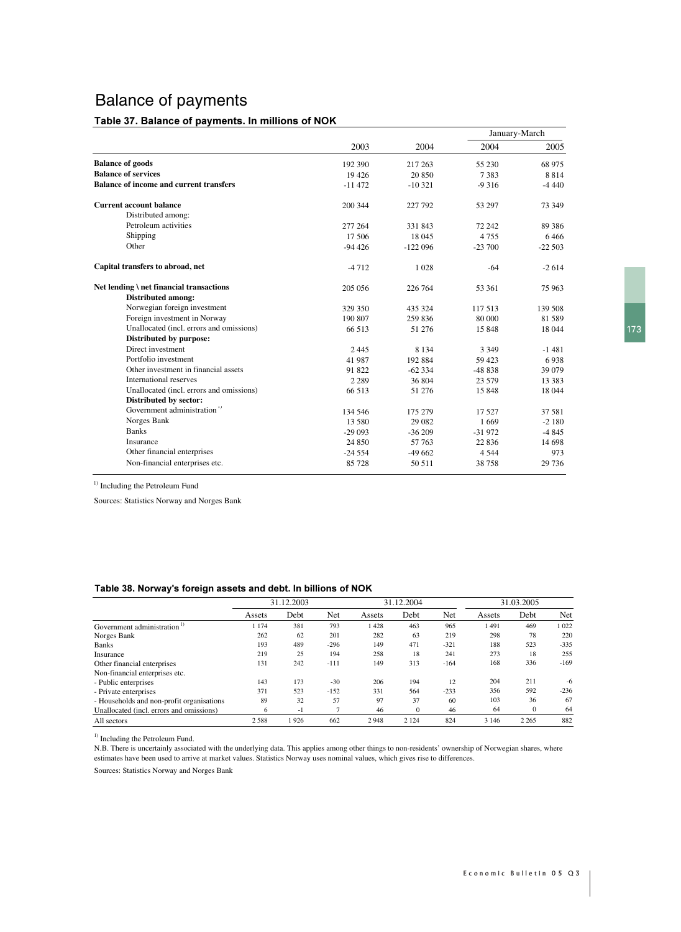# Balance of payments

#### Table 37. Balance of payments. In millions of NOK

|                                                |          |           | January-March |          |  |
|------------------------------------------------|----------|-----------|---------------|----------|--|
|                                                | 2003     | 2004      | 2004          | 2005     |  |
| <b>Balance of goods</b>                        | 192 390  | 217 263   | 55 230        | 68 975   |  |
| <b>Balance of services</b>                     | 19 4 26  | 20 850    | 7383          | 8814     |  |
| <b>Balance of income and current transfers</b> | $-11472$ | $-10321$  | $-9316$       | $-4440$  |  |
| <b>Current account balance</b>                 | 200 344  | 227 792   | 53 297        | 73 349   |  |
| Distributed among:                             |          |           |               |          |  |
| Petroleum activities                           | 277 264  | 331 843   | 72 242        | 89 3 86  |  |
| Shipping                                       | 17 506   | 18 045    | 4755          | 6466     |  |
| Other                                          | $-94426$ | $-122096$ | $-23700$      | $-22503$ |  |
| Capital transfers to abroad, net               | $-4712$  | 1028      | $-64$         | $-2614$  |  |
| Net lending \ net financial transactions       | 205 056  | 226 764   | 53 361        | 75 963   |  |
| <b>Distributed among:</b>                      |          |           |               |          |  |
| Norwegian foreign investment                   | 329 350  | 435 324   | 117 513       | 139 508  |  |
| Foreign investment in Norway                   | 190 807  | 259 836   | 80 000        | 81 5 89  |  |
| Unallocated (incl. errors and omissions)       | 66 513   | 51 276    | 15 848        | 18 044   |  |
| Distributed by purpose:                        |          |           |               |          |  |
| Direct investment                              | 2445     | 8 1 3 4   | 3 3 4 9       | $-1481$  |  |
| Portfolio investment                           | 41 987   | 192 884   | 59 423        | 6938     |  |
| Other investment in financial assets           | 91 822   | $-62334$  | $-48838$      | 39 0 79  |  |
| International reserves                         | 2 2 8 9  | 36 804    | 23 579        | 13 3 8 3 |  |
| Unallocated (incl. errors and omissions)       | 66 513   | 51 276    | 15 848        | 18 044   |  |
| Distributed by sector:                         |          |           |               |          |  |
| Government administration <sup>1)</sup>        | 134 546  | 175 279   | 17527         | 37 581   |  |
| Norges Bank                                    | 13 580   | 29 082    | 1669          | $-2180$  |  |
| <b>Banks</b>                                   | $-29093$ | $-36209$  | $-31972$      | $-4845$  |  |
| Insurance                                      | 24 850   | 57 763    | 22 8 36       | 14 6 98  |  |
| Other financial enterprises                    | $-24554$ | $-49662$  | 4 5 4 4       | 973      |  |
| Non-financial enterprises etc.                 | 85 728   | 50 511    | 38 758        | 29 736   |  |

<sup>1)</sup> Including the Petroleum Fund

Sources: Statistics Norway and Norges Bank

#### Table 38. Norway's foreign assets and debt. In billions of NOK

|                                           | 31.12.2003 |      |        |        | 31.12.2004   |        |         | 31.03.2005 |        |  |
|-------------------------------------------|------------|------|--------|--------|--------------|--------|---------|------------|--------|--|
|                                           | Assets     | Debt | Net    | Assets | Debt         | Net    | Assets  | Debt       | Net    |  |
| Government administration                 | 1 1 7 4    | 381  | 793    | 1428   | 463          | 965    | 491     | 469        | 1022   |  |
| Norges Bank                               | 262        | 62   | 201    | 282    | 63           | 219    | 298     | 78         | 220    |  |
| <b>Banks</b>                              | 193        | 489  | $-296$ | 149    | 471          | $-321$ | 188     | 523        | $-335$ |  |
| Insurance                                 | 219        | 25   | 194    | 258    | 18           | 241    | 273     | 18         | 255    |  |
| Other financial enterprises               | 131        | 242  | $-111$ | 149    | 313          | $-164$ | 168     | 336        | $-169$ |  |
| Non-financial enterprises etc.            |            |      |        |        |              |        |         |            |        |  |
| - Public enterprises                      | 143        | 173  | $-30$  | 206    | 194          | 12     | 204     | 211        | $-6$   |  |
| - Private enterprises                     | 371        | 523  | $-152$ | 331    | 564          | $-233$ | 356     | 592        | $-236$ |  |
| - Households and non-profit organisations | 89         | 32   | 57     | 97     | 37           | 60     | 103     | 36         | 67     |  |
| Unallocated (incl. errors and omissions)  | 6          | - 1  | n,     | 46     | $\mathbf{0}$ | 46     | 64      | $\theta$   | 64     |  |
| All sectors                               | 2588       | 926  | 662    | 2948   | 2 1 2 4      | 824    | 3 1 4 6 | 2 2 6 5    | 882    |  |

<sup>1)</sup> Including the Petroleum Fund.

N.B. There is uncertainly associated with the underlying data. This applies among other things to non-residents' ownership of Norwegian shares, where estimates have been used to arrive at market values. Statistics Norway uses nominal values, which gives rise to differences.

Sources: Statistics Norway and Norges Bank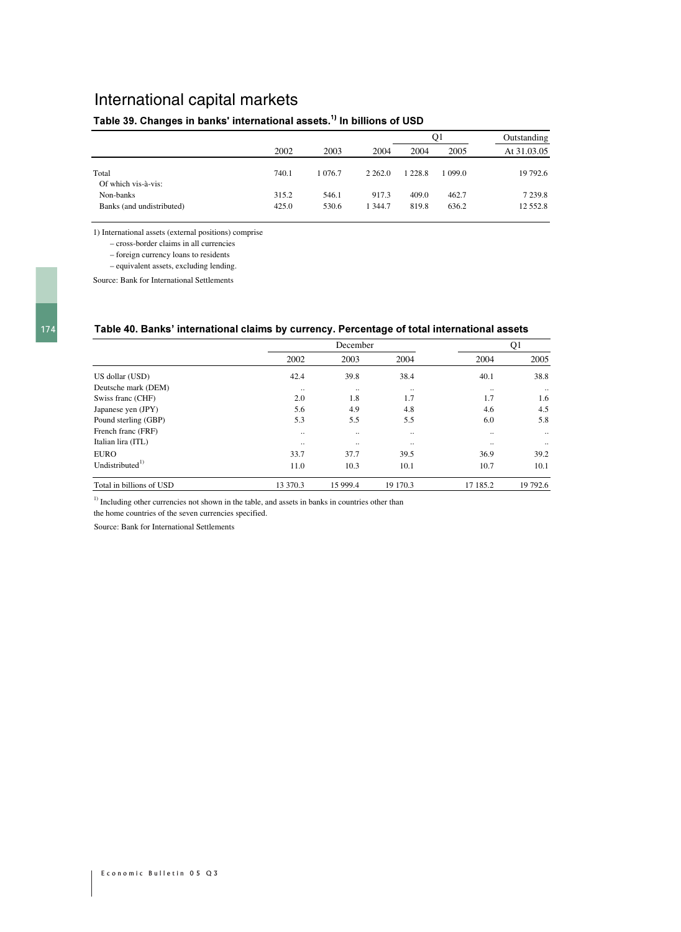# International capital markets

# Table 39. Changes in banks' international assets.<sup>1)</sup> In billions of USD

|                                        |                |                |                  |                | O1             | Outstanding             |
|----------------------------------------|----------------|----------------|------------------|----------------|----------------|-------------------------|
|                                        | 2002           | 2003           | 2004             | 2004           | 2005           | At 31.03.05             |
| Total<br>Of which vis-à-vis:           | 740.1          | 1 0 7 6 . 7    | 2 2 6 2 .0       | 1 228.8        | 1 099.0        | 19 792.6                |
| Non-banks<br>Banks (and undistributed) | 315.2<br>425.0 | 546.1<br>530.6 | 917.3<br>1 344.7 | 409.0<br>819.8 | 462.7<br>636.2 | 7 2 3 9 . 8<br>12 552.8 |

1) International assets (external positions) comprise

– cross-border claims in all currencies

– foreign currency loans to residents

– equivalent assets, excluding lending.

Source: Bank for International Settlements

#### Table 40. Banks' international claims by currency. Percentage of total international assets

|                          |          | Q1       |               |           |           |
|--------------------------|----------|----------|---------------|-----------|-----------|
|                          | 2002     | 2003     | 2004          | 2004      | 2005      |
| US dollar (USD)          | 42.4     | 39.8     | 38.4          | 40.1      | 38.8      |
| Deutsche mark (DEM)      | $\cdot$  | $\cdot$  | $\cdot \cdot$ | $\cdot$ . | $\cdot$ . |
| Swiss franc (CHF)        | 2.0      | 1.8      | 1.7           | 1.7       | 1.6       |
| Japanese yen (JPY)       | 5.6      | 4.9      | 4.8           | 4.6       | 4.5       |
| Pound sterling (GBP)     | 5.3      | 5.5      | 5.5           | 6.0       | 5.8       |
| French franc (FRF)       |          |          | $\ddotsc$     |           | $\cdot$ . |
| Italian lira (ITL)       |          |          |               |           |           |
| EURO                     | 33.7     | 37.7     | 39.5          | 36.9      | 39.2      |
| Undistributed $^{1)}$    | 11.0     | 10.3     | 10.1          | 10.7      | 10.1      |
| Total in billions of USD | 13 370.3 | 15 999.4 | 19 170.3      | 17 185.2  | 19 792.6  |

 $<sup>1</sup>$  Including other currencies not shown in the table, and assets in banks in countries other than</sup>

the home countries of the seven currencies specified.

Source: Bank for International Settlements